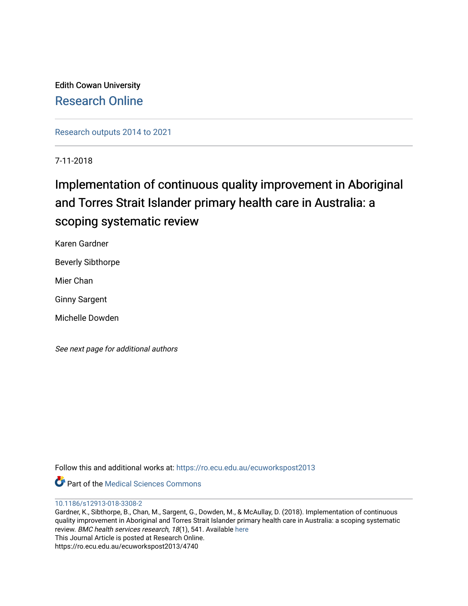Edith Cowan University [Research Online](https://ro.ecu.edu.au/) 

[Research outputs 2014 to 2021](https://ro.ecu.edu.au/ecuworkspost2013) 

7-11-2018

# Implementation of continuous quality improvement in Aboriginal and Torres Strait Islander primary health care in Australia: a scoping systematic review

Karen Gardner

Beverly Sibthorpe

Mier Chan

Ginny Sargent

Michelle Dowden

See next page for additional authors

Follow this and additional works at: [https://ro.ecu.edu.au/ecuworkspost2013](https://ro.ecu.edu.au/ecuworkspost2013?utm_source=ro.ecu.edu.au%2Fecuworkspost2013%2F4740&utm_medium=PDF&utm_campaign=PDFCoverPages) 

**C** Part of the Medical Sciences Commons

[10.1186/s12913-018-3308-2](http://dx.doi.org/10.1186/s12913-018-3308-2)

Gardner, K., Sibthorpe, B., Chan, M., Sargent, G., Dowden, M., & McAullay, D. (2018). Implementation of continuous quality improvement in Aboriginal and Torres Strait Islander primary health care in Australia: a scoping systematic review. BMC health services research, 18(1), 541. Available [here](https://doi.org/10.1186/s12913-018-3308-2) This Journal Article is posted at Research Online. https://ro.ecu.edu.au/ecuworkspost2013/4740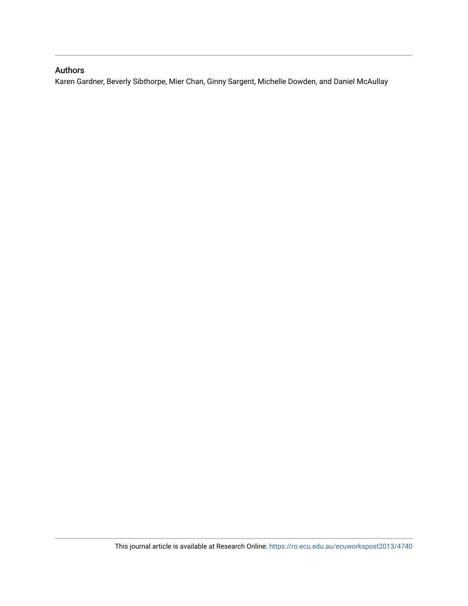### Authors

Karen Gardner, Beverly Sibthorpe, Mier Chan, Ginny Sargent, Michelle Dowden, and Daniel McAullay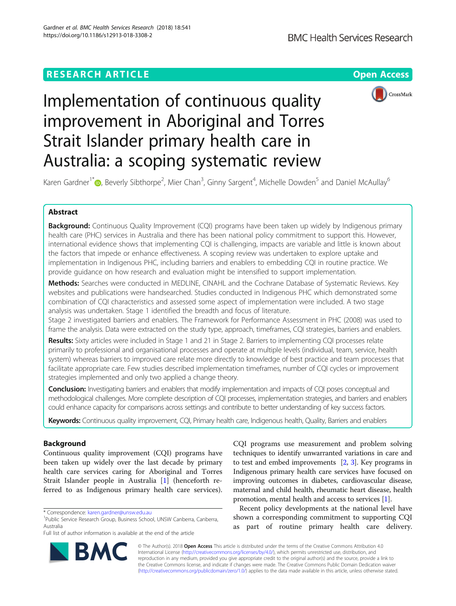## **RESEARCH ARTICLE Example 2018 12:30 THE Open Access**

CrossMark



Karen Gardner<sup>1[\\*](http://orcid.org/0000-0001-9783-3575)</sup> (D), Beverly Sibthorpe<sup>2</sup>, Mier Chan<sup>3</sup>, Ginny Sargent<sup>4</sup>, Michelle Dowden<sup>5</sup> and Daniel McAullay<sup>6</sup>

### Abstract

**Background:** Continuous Quality Improvement (CQI) programs have been taken up widely by Indigenous primary health care (PHC) services in Australia and there has been national policy commitment to support this. However, international evidence shows that implementing CQI is challenging, impacts are variable and little is known about the factors that impede or enhance effectiveness. A scoping review was undertaken to explore uptake and implementation in Indigenous PHC, including barriers and enablers to embedding CQI in routine practice. We provide guidance on how research and evaluation might be intensified to support implementation.

Methods: Searches were conducted in MEDLINE, CINAHL and the Cochrane Database of Systematic Reviews. Key websites and publications were handsearched. Studies conducted in Indigenous PHC which demonstrated some combination of CQI characteristics and assessed some aspect of implementation were included. A two stage analysis was undertaken. Stage 1 identified the breadth and focus of literature.

Stage 2 investigated barriers and enablers. The Framework for Performance Assessment in PHC (2008) was used to frame the analysis. Data were extracted on the study type, approach, timeframes, CQI strategies, barriers and enablers.

Results: Sixty articles were included in Stage 1 and 21 in Stage 2. Barriers to implementing CQI processes relate primarily to professional and organisational processes and operate at multiple levels (individual, team, service, health system) whereas barriers to improved care relate more directly to knowledge of best practice and team processes that facilitate appropriate care. Few studies described implementation timeframes, number of CQI cycles or improvement strategies implemented and only two applied a change theory.

Conclusion: Investigating barriers and enablers that modify implementation and impacts of CQI poses conceptual and methodological challenges. More complete description of CQI processes, implementation strategies, and barriers and enablers could enhance capacity for comparisons across settings and contribute to better understanding of key success factors.

Keywords: Continuous quality improvement, CQI, Primary health care, Indigenous health, Quality, Barriers and enablers

#### Background

Continuous quality improvement (CQI) programs have been taken up widely over the last decade by primary health care services caring for Aboriginal and Torres Strait Islander people in Australia [[1\]](#page-20-0) (henceforth referred to as Indigenous primary health care services).

**RM** 



Recent policy developments at the national level have shown a corresponding commitment to supporting CQI as part of routine primary health care delivery.

© The Author(s). 2018 Open Access This article is distributed under the terms of the Creative Commons Attribution 4.0 International License [\(http://creativecommons.org/licenses/by/4.0/](http://creativecommons.org/licenses/by/4.0/)), which permits unrestricted use, distribution, and reproduction in any medium, provided you give appropriate credit to the original author(s) and the source, provide a link to the Creative Commons license, and indicate if changes were made. The Creative Commons Public Domain Dedication waiver [\(http://creativecommons.org/publicdomain/zero/1.0/](http://creativecommons.org/publicdomain/zero/1.0/)) applies to the data made available in this article, unless otherwise stated.

<sup>\*</sup> Correspondence: [karen.gardner@unsw.edu.au](mailto:karen.gardner@unsw.edu.au) <sup>1</sup>

<sup>&</sup>lt;sup>1</sup>Public Service Research Group, Business School, UNSW Canberra, Canberra, Australia

Full list of author information is available at the end of the article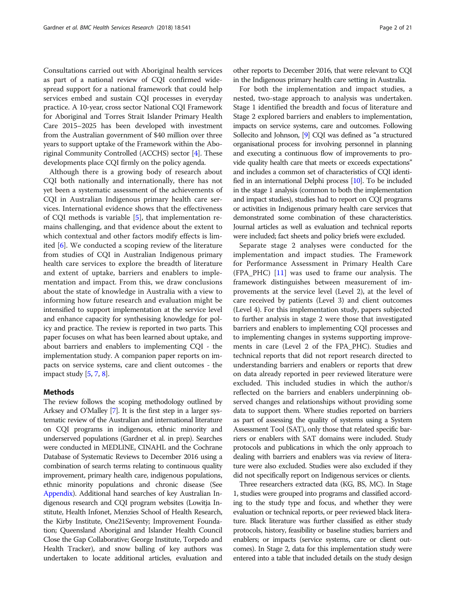Consultations carried out with Aboriginal health services as part of a national review of CQI confirmed widespread support for a national framework that could help services embed and sustain CQI processes in everyday practice. A 10-year, cross sector National CQI Framework for Aboriginal and Torres Strait Islander Primary Health Care 2015–2025 has been developed with investment from the Australian government of \$40 million over three years to support uptake of the Framework within the Aboriginal Community Controlled (ACCHS) sector [[4](#page-20-0)]. These developments place CQI firmly on the policy agenda.

Although there is a growing body of research about CQI both nationally and internationally, there has not yet been a systematic assessment of the achievements of CQI in Australian Indigenous primary health care services. International evidence shows that the effectiveness of CQI methods is variable [[5\]](#page-20-0), that implementation remains challenging, and that evidence about the extent to which contextual and other factors modify effects is limited [\[6](#page-20-0)]. We conducted a scoping review of the literature from studies of CQI in Australian Indigenous primary health care services to explore the breadth of literature and extent of uptake, barriers and enablers to implementation and impact. From this, we draw conclusions about the state of knowledge in Australia with a view to informing how future research and evaluation might be intensified to support implementation at the service level and enhance capacity for synthesising knowledge for policy and practice. The review is reported in two parts. This paper focuses on what has been learned about uptake, and about barriers and enablers to implementing CQI - the implementation study. A companion paper reports on impacts on service systems, care and client outcomes - the impact study [\[5,](#page-20-0) [7](#page-20-0), [8\]](#page-20-0).

#### Methods

The review follows the scoping methodology outlined by Arksey and O'Malley [[7](#page-20-0)]. It is the first step in a larger systematic review of the Australian and international literature on CQI programs in indigenous, ethnic minority and underserved populations (Gardner et al. in prep). Searches were conducted in MEDLINE, CINAHL and the Cochrane Database of Systematic Reviews to December 2016 using a combination of search terms relating to continuous quality improvement, primary health care, indigenous populations, ethnic minority populations and chronic disease (See Appendix). Additional hand searches of key Australian Indigenous research and CQI program websites (Lowitja Institute, Health Infonet, Menzies School of Health Research, the Kirby Institute, One21Seventy; Improvement Foundation; Queensland Aboriginal and Islander Health Council Close the Gap Collaborative; George Institute, Torpedo and Health Tracker), and snow balling of key authors was undertaken to locate additional articles, evaluation and

other reports to December 2016, that were relevant to CQI in the Indigenous primary health care setting in Australia.

For both the implementation and impact studies, a nested, two-stage approach to analysis was undertaken. Stage 1 identified the breadth and focus of literature and Stage 2 explored barriers and enablers to implementation, impacts on service systems, care and outcomes. Following Sollecito and Johnson, [\[9](#page-20-0)] CQI was defined as "a structured organisational process for involving personnel in planning and executing a continuous flow of improvements to provide quality health care that meets or exceeds expectations" and includes a common set of characteristics of CQI identified in an international Delphi process [\[10\]](#page-20-0). To be included in the stage 1 analysis (common to both the implementation and impact studies), studies had to report on CQI programs or activities in Indigenous primary health care services that demonstrated some combination of these characteristics. Journal articles as well as evaluation and technical reports were included; fact sheets and policy briefs were excluded.

Separate stage 2 analyses were conducted for the implementation and impact studies. The Framework for Performance Assessment in Primary Health Care  $(FPA_PHC)$   $[11]$  $[11]$  was used to frame our analysis. The framework distinguishes between measurement of improvements at the service level (Level 2), at the level of care received by patients (Level 3) and client outcomes (Level 4). For this implementation study, papers subjected to further analysis in stage 2 were those that investigated barriers and enablers to implementing CQI processes and to implementing changes in systems supporting improvements in care (Level 2 of the FPA\_PHC). Studies and technical reports that did not report research directed to understanding barriers and enablers or reports that drew on data already reported in peer reviewed literature were excluded. This included studies in which the author/s reflected on the barriers and enablers underpinning observed changes and relationships without providing some data to support them. Where studies reported on barriers as part of assessing the quality of systems using a System Assessment Tool (SAT), only those that related specific barriers or enablers with SAT domains were included. Study protocols and publications in which the only approach to dealing with barriers and enablers was via review of literature were also excluded. Studies were also excluded if they did not specifically report on Indigenous services or clients.

Three researchers extracted data (KG, BS, MC). In Stage 1, studies were grouped into programs and classified according to the study type and focus, and whether they were evaluation or technical reports, or peer reviewed black literature. Black literature was further classified as either study protocols, history, feasibility or baseline studies; barriers and enablers; or impacts (service systems, care or client outcomes). In Stage 2, data for this implementation study were entered into a table that included details on the study design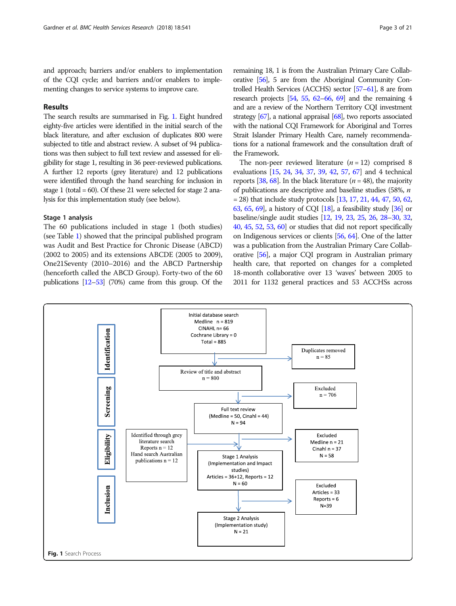and approach; barriers and/or enablers to implementation of the CQI cycle; and barriers and/or enablers to implementing changes to service systems to improve care.

#### Results

The search results are summarised in Fig. 1. Eight hundred eighty-five articles were identified in the initial search of the black literature, and after exclusion of duplicates 800 were subjected to title and abstract review. A subset of 94 publications was then subject to full text review and assessed for eligibility for stage 1, resulting in 36 peer-reviewed publications. A further 12 reports (grey literature) and 12 publications were identified through the hand searching for inclusion in stage 1 (total =  $60$ ). Of these 21 were selected for stage 2 analysis for this implementation study (see below).

#### Stage 1 analysis

The 60 publications included in stage 1 (both studies) (see Table [1\)](#page-5-0) showed that the principal published program was Audit and Best Practice for Chronic Disease (ABCD) (2002 to 2005) and its extensions ABCDE (2005 to 2009), One21Seventy (2010–2016) and the ABCD Partnership (henceforth called the ABCD Group). Forty-two of the 60 publications [\[12](#page-20-0)–[53](#page-21-0)] (70%) came from this group. Of the

remaining 18, 1 is from the Australian Primary Care Collaborative [\[56](#page-21-0)], 5 are from the Aboriginal Community Controlled Health Services (ACCHS) sector [\[57](#page-22-0)–[61\]](#page-22-0), 8 are from research projects [\[54](#page-21-0), [55,](#page-21-0) [62](#page-22-0)–[66](#page-22-0), [69](#page-22-0)] and the remaining 4 and are a review of the Northern Territory CQI investment strategy [\[67\]](#page-22-0), a national appraisal [\[68](#page-22-0)], two reports associated with the national CQI Framework for Aboriginal and Torres Strait Islander Primary Health Care, namely recommendations for a national framework and the consultation draft of the Framework.

The non-peer reviewed literature  $(n = 12)$  comprised 8 evaluations [\[15](#page-20-0), [24,](#page-20-0) [34,](#page-21-0) [37,](#page-21-0) [39,](#page-21-0) [42,](#page-21-0) [57](#page-22-0), [67](#page-22-0)] and 4 technical reports [\[38,](#page-21-0) [68\]](#page-22-0). In the black literature ( $n = 48$ ), the majority of publications are descriptive and baseline studies (58%,  $n$  $= 28$ ) that include study protocols [\[13,](#page-20-0) [17,](#page-20-0) [21](#page-20-0), [44](#page-21-0), [47](#page-21-0), [50](#page-21-0), [62](#page-22-0), [63](#page-22-0), [65,](#page-22-0) [69](#page-22-0)], a history of CQI [[18](#page-20-0)], a feasibility study [\[36\]](#page-21-0) or baseline/single audit studies [\[12](#page-20-0), [19](#page-20-0), [23](#page-20-0), [25](#page-21-0), [26](#page-21-0), [28](#page-21-0)–[30](#page-21-0), [32](#page-21-0), [40](#page-21-0), [45,](#page-21-0) [52](#page-21-0), [53](#page-21-0), [60\]](#page-22-0) or studies that did not report specifically on Indigenous services or clients [\[56,](#page-21-0) [64](#page-22-0)]. One of the latter was a publication from the Australian Primary Care Collaborative [\[56\]](#page-21-0), a major CQI program in Australian primary health care, that reported on changes for a completed 18-month collaborative over 13 'waves' between 2005 to 2011 for 1132 general practices and 53 ACCHSs across

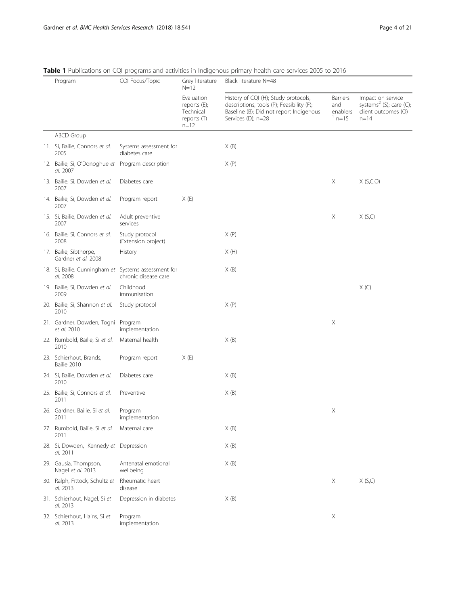| Program |                                                                  | CQI Focus/Topic                         | Grey literature<br>$N = 12$                                        | Black literature N=48                                                                                                                              |                                                |                                                                                    |
|---------|------------------------------------------------------------------|-----------------------------------------|--------------------------------------------------------------------|----------------------------------------------------------------------------------------------------------------------------------------------------|------------------------------------------------|------------------------------------------------------------------------------------|
|         |                                                                  |                                         | Evaluation<br>reports (E);<br>Technical<br>reports (T)<br>$n = 12$ | History of CQI (H); Study protocols,<br>descriptions, tools (P); Feasibility (F);<br>Baseline (B); Did not report Indigenous<br>Services (D); n=28 | <b>Barriers</b><br>and<br>enablers<br>$n = 15$ | Impact on service<br>systems $2$ (S); care (C);<br>client outcomes (O)<br>$n = 14$ |
|         | <b>ABCD Group</b>                                                |                                         |                                                                    |                                                                                                                                                    |                                                |                                                                                    |
|         | 11. Si, Bailie, Connors et al.<br>2005                           | Systems assessment for<br>diabetes care |                                                                    | X(B)                                                                                                                                               |                                                |                                                                                    |
|         | 12. Bailie, Si, O'Donoghue et Program description<br>al. 2007    |                                         |                                                                    | X(P)                                                                                                                                               |                                                |                                                                                    |
|         | 13. Bailie, Si, Dowden et al.<br>2007                            | Diabetes care                           |                                                                    |                                                                                                                                                    | X                                              | X(S,C,O)                                                                           |
|         | 14. Bailie, Si, Dowden et al.<br>2007                            | Program report                          | X(E)                                                               |                                                                                                                                                    |                                                |                                                                                    |
|         | 15. Si, Bailie, Dowden et al.<br>2007                            | Adult preventive<br>services            |                                                                    |                                                                                                                                                    | Χ                                              | X(S,C)                                                                             |
|         | 16. Bailie, Si, Connors et al.<br>2008                           | Study protocol<br>(Extension project)   |                                                                    | X(P)                                                                                                                                               |                                                |                                                                                    |
|         | 17. Bailie, Sibthorpe,<br>Gardner et al. 2008                    | History                                 |                                                                    | X(H)                                                                                                                                               |                                                |                                                                                    |
|         | 18. Si, Bailie, Cunningham et Systems assessment for<br>al. 2008 | chronic disease care                    |                                                                    | X(B)                                                                                                                                               |                                                |                                                                                    |
|         | 19. Bailie, Si, Dowden et al.<br>2009                            | Childhood<br>immunisation               |                                                                    |                                                                                                                                                    |                                                | X(C)                                                                               |
|         | 20. Bailie, Si, Shannon et al.<br>2010                           | Study protocol                          |                                                                    | X(P)                                                                                                                                               |                                                |                                                                                    |
|         | 21. Gardner, Dowden, Togni Program<br>et al. 2010                | implementation                          |                                                                    |                                                                                                                                                    | Χ                                              |                                                                                    |
|         | 22. Rumbold, Bailie, Si et al.<br>2010                           | Maternal health                         |                                                                    | X(B)                                                                                                                                               |                                                |                                                                                    |
|         | 23. Schierhout, Brands,<br>Bailie 2010                           | Program report                          | X(E)                                                               |                                                                                                                                                    |                                                |                                                                                    |
|         | 24. Si, Bailie, Dowden et al.<br>2010                            | Diabetes care                           |                                                                    | X(B)                                                                                                                                               |                                                |                                                                                    |
|         | 25. Bailie, Si, Connors et al.<br>2011                           | Preventive                              |                                                                    | X(B)                                                                                                                                               |                                                |                                                                                    |
|         | 26. Gardner, Bailie, Si et al.<br>2011                           | Program<br>implementation               |                                                                    |                                                                                                                                                    | Χ                                              |                                                                                    |
|         | 27. Rumbold, Bailie, Si et al.<br>2011                           | Maternal care                           |                                                                    | X(B)                                                                                                                                               |                                                |                                                                                    |
|         | 28. Si, Dowden, Kennedy et Depression<br>al. 2011                |                                         |                                                                    | X(B)                                                                                                                                               |                                                |                                                                                    |
|         | 29. Gausia, Thompson,<br>Nagel et al. 2013                       | Antenatal emotional<br>wellbeing        |                                                                    | X(B)                                                                                                                                               |                                                |                                                                                    |
|         | 30. Ralph, Fittock, Schultz et<br>al. 2013                       | Rheumatic heart<br>disease              |                                                                    |                                                                                                                                                    | Χ                                              | X(S,C)                                                                             |
|         | 31. Schierhout, Nagel, Si et<br>al. 2013                         | Depression in diabetes                  |                                                                    | X(B)                                                                                                                                               |                                                |                                                                                    |
|         | 32. Schierhout, Hains, Si et<br>al. 2013                         | Program<br>implementation               |                                                                    |                                                                                                                                                    | $\boldsymbol{\mathsf{X}}$                      |                                                                                    |

### <span id="page-5-0"></span>Table 1 Publications on CQI programs and activities in Indigenous primary health care services 2005 to 2016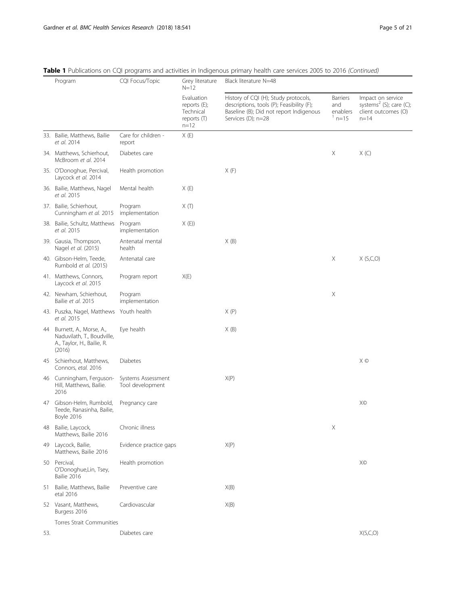|     | CQI Focus/Topic<br>Program<br>Grey literature<br>Black literature N=48<br>$N = 12$               |                                        |                                                                     |                                                                                                                                                    |                                                |                                                                                             |
|-----|--------------------------------------------------------------------------------------------------|----------------------------------------|---------------------------------------------------------------------|----------------------------------------------------------------------------------------------------------------------------------------------------|------------------------------------------------|---------------------------------------------------------------------------------------------|
|     |                                                                                                  |                                        | Evaluation<br>reports $(E)$ ;<br>Technical<br>reports (T)<br>$n=12$ | History of CQI (H); Study protocols,<br>descriptions, tools (P); Feasibility (F);<br>Baseline (B); Did not report Indigenous<br>Services (D); n=28 | <b>Barriers</b><br>and<br>enablers<br>$n = 15$ | Impact on service<br>systems <sup>2</sup> (S); care (C);<br>client outcomes (O)<br>$n = 14$ |
|     | 33. Bailie, Matthews, Bailie<br>et al. 2014                                                      | Care for children -<br>report          | X(E)                                                                |                                                                                                                                                    |                                                |                                                                                             |
|     | 34. Matthews, Schierhout,<br>McBroom et al. 2014                                                 | Diabetes care                          |                                                                     |                                                                                                                                                    | Χ                                              | X(C)                                                                                        |
|     | 35. O'Donoghue, Percival,<br>Laycock et al. 2014                                                 | Health promotion                       |                                                                     | X(F)                                                                                                                                               |                                                |                                                                                             |
|     | 36. Bailie, Matthews, Nagel<br>et al. 2015                                                       | Mental health                          | X(E)                                                                |                                                                                                                                                    |                                                |                                                                                             |
|     | 37. Bailie, Schierhout,<br>Cunningham et al. 2015                                                | Program<br>implementation              | X(T)                                                                |                                                                                                                                                    |                                                |                                                                                             |
|     | 38. Bailie, Schultz, Matthews<br>et al. 2015                                                     | Program<br>implementation              | X(E)                                                                |                                                                                                                                                    |                                                |                                                                                             |
|     | 39. Gausia, Thompson,<br>Nagel et al. (2015)                                                     | Antenatal mental<br>health             |                                                                     | X(B)                                                                                                                                               |                                                |                                                                                             |
|     | 40. Gibson-Helm, Teede,<br>Rumbold et al. (2015)                                                 | Antenatal care                         |                                                                     |                                                                                                                                                    | $\mathsf X$                                    | X(S,C,O)                                                                                    |
|     | 41. Matthews, Connors,<br>Laycock et al. 2015                                                    | Program report                         | X(E)                                                                |                                                                                                                                                    |                                                |                                                                                             |
|     | 42. Newham, Schierhout,<br>Bailie et al. 2015                                                    | Program<br>implementation              |                                                                     |                                                                                                                                                    | $\mathsf X$                                    |                                                                                             |
|     | 43. Puszka, Nagel, Matthews Youth health<br>et al. 2015                                          |                                        |                                                                     | X(P)                                                                                                                                               |                                                |                                                                                             |
|     | 44 Burnett, A., Morse, A.,<br>Naduvilath, T., Boudville,<br>A., Taylor, H., Bailie, R.<br>(2016) | Eye health                             |                                                                     | X(B)                                                                                                                                               |                                                |                                                                                             |
|     | 45 Schierhout, Matthews,<br>Connors, etal. 2016                                                  | Diabetes                               |                                                                     |                                                                                                                                                    |                                                | Χ©                                                                                          |
| 46  | Cunningham, Ferguson-<br>Hill, Matthews, Bailie.<br>2016                                         | Systems Assessment<br>Tool development |                                                                     | X(P)                                                                                                                                               |                                                |                                                                                             |
| 47  | Gibson-Helm, Rumbold,<br>Teede, Ranasinha, Bailie,<br>Boyle 2016                                 | Pregnancy care                         |                                                                     |                                                                                                                                                    |                                                | XO                                                                                          |
|     | 48 Bailie, Laycock,<br>Matthews, Bailie 2016                                                     | Chronic illness                        |                                                                     |                                                                                                                                                    | $\mathsf X$                                    |                                                                                             |
|     | 49 Laycock, Bailie,<br>Matthews, Bailie 2016                                                     | Evidence practice gaps                 |                                                                     | X(P)                                                                                                                                               |                                                |                                                                                             |
|     | 50 Percival,<br>O'Donoghue,Lin, Tsey,<br>Bailie 2016                                             | Health promotion                       |                                                                     |                                                                                                                                                    |                                                | XO                                                                                          |
| 51  | Bailie, Matthews, Bailie<br>etal 2016                                                            | Preventive care                        |                                                                     | X(B)                                                                                                                                               |                                                |                                                                                             |
|     | 52 Vasant, Matthews,<br>Burgess 2016                                                             | Cardiovascular                         |                                                                     | X(B)                                                                                                                                               |                                                |                                                                                             |
|     | Torres Strait Communities                                                                        |                                        |                                                                     |                                                                                                                                                    |                                                |                                                                                             |
| 53. |                                                                                                  | Diabetes care                          |                                                                     |                                                                                                                                                    |                                                | X(S,C,O)                                                                                    |

Table 1 Publications on CQI programs and activities in Indigenous primary health care services 2005 to 2016 (Continued)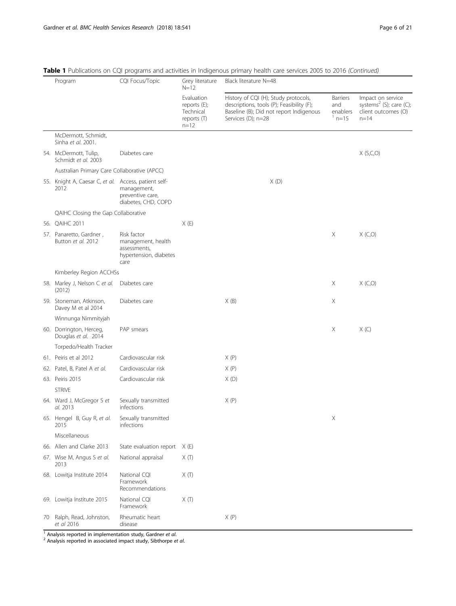| CQI Focus/Topic<br>Program |                                                              | Grey literature<br>$N = 12$                                                         | Black literature N=48                                               |                                                                                                                                                    |                                          |                                                                                             |
|----------------------------|--------------------------------------------------------------|-------------------------------------------------------------------------------------|---------------------------------------------------------------------|----------------------------------------------------------------------------------------------------------------------------------------------------|------------------------------------------|---------------------------------------------------------------------------------------------|
|                            |                                                              |                                                                                     | Evaluation<br>reports $(E)$ ;<br>Technical<br>reports (T)<br>$n=12$ | History of CQI (H); Study protocols,<br>descriptions, tools (P); Feasibility (F);<br>Baseline (B); Did not report Indigenous<br>Services (D); n=28 | Barriers<br>and<br>enablers<br>$^1$ n=15 | Impact on service<br>systems <sup>2</sup> (S); care (C);<br>client outcomes (O)<br>$n = 14$ |
|                            | McDermott, Schmidt,<br>Sinha et al. 2001.                    |                                                                                     |                                                                     |                                                                                                                                                    |                                          |                                                                                             |
|                            | 54. McDermott, Tulip,<br>Schmidt et al. 2003                 | Diabetes care                                                                       |                                                                     |                                                                                                                                                    |                                          | X(S,C,O)                                                                                    |
|                            | Australian Primary Care Collaborative (APCC)                 |                                                                                     |                                                                     |                                                                                                                                                    |                                          |                                                                                             |
|                            | 55. Knight A, Caesar C, et al. Access, patient self-<br>2012 | management,<br>preventive care,<br>diabetes, CHD, COPD                              |                                                                     | X(D)                                                                                                                                               |                                          |                                                                                             |
|                            | QAIHC Closing the Gap Collaborative                          |                                                                                     |                                                                     |                                                                                                                                                    |                                          |                                                                                             |
|                            | 56. QAIHC 2011                                               |                                                                                     | X(E)                                                                |                                                                                                                                                    |                                          |                                                                                             |
|                            | 57. Panaretto, Gardner,<br>Button et al. 2012                | Risk factor<br>management, health<br>assessments,<br>hypertension, diabetes<br>care |                                                                     |                                                                                                                                                    | Χ                                        | X(C, O)                                                                                     |
|                            | Kimberley Region ACCHSs                                      |                                                                                     |                                                                     |                                                                                                                                                    |                                          |                                                                                             |
|                            | 58. Marley J, Nelson C et al.<br>(2012)                      | Diabetes care                                                                       |                                                                     |                                                                                                                                                    | Χ                                        | X(C, O)                                                                                     |
|                            | 59. Stoneman, Atkinson,<br>Davey M et al 2014                | Diabetes care                                                                       |                                                                     | X(B)                                                                                                                                               | Χ                                        |                                                                                             |
|                            | Winnunga Nimmityjah                                          |                                                                                     |                                                                     |                                                                                                                                                    |                                          |                                                                                             |
|                            | 60. Dorrington, Herceg,<br>Douglas et al. 2014               | PAP smears                                                                          |                                                                     |                                                                                                                                                    | Χ                                        | X(C)                                                                                        |
|                            | Torpedo/Health Tracker                                       |                                                                                     |                                                                     |                                                                                                                                                    |                                          |                                                                                             |
|                            | 61. Peiris et al 2012                                        | Cardiovascular risk                                                                 |                                                                     | X(P)                                                                                                                                               |                                          |                                                                                             |
|                            | 62. Patel, B, Patel A et al.                                 | Cardiovascular risk                                                                 |                                                                     | X(P)                                                                                                                                               |                                          |                                                                                             |
|                            | 63. Peiris 2015                                              | Cardiovascular risk                                                                 |                                                                     | X(D)                                                                                                                                               |                                          |                                                                                             |
|                            | <b>STRIVE</b>                                                |                                                                                     |                                                                     |                                                                                                                                                    |                                          |                                                                                             |
|                            | 64. Ward J, McGregor S et<br>al. 2013                        | Sexually transmitted<br>infections                                                  |                                                                     | X(P)                                                                                                                                               |                                          |                                                                                             |
|                            | 65. Hengel B, Guy R, et al.<br>2015                          | Sexually transmitted<br>infections                                                  |                                                                     |                                                                                                                                                    | X                                        |                                                                                             |
|                            | Miscellaneous                                                |                                                                                     |                                                                     |                                                                                                                                                    |                                          |                                                                                             |
|                            | 66. Allen and Clarke 2013                                    | State evaluation report X (E)                                                       |                                                                     |                                                                                                                                                    |                                          |                                                                                             |
|                            | 67. Wise M, Angus S et al.<br>2013                           | National appraisal                                                                  | X(T)                                                                |                                                                                                                                                    |                                          |                                                                                             |
|                            | 68. Lowitja Institute 2014                                   | National CQI<br>Framework<br>Recommendations                                        | $X(\mathbb{T})$                                                     |                                                                                                                                                    |                                          |                                                                                             |
|                            | 69. Lowitja Institute 2015                                   | National CQI<br>Framework                                                           | $X(\mathbb{T})$                                                     |                                                                                                                                                    |                                          |                                                                                             |
|                            | 70 Ralph, Read, Johnston,<br>et al 2016                      | Rheumatic heart<br>disease                                                          |                                                                     | X(P)                                                                                                                                               |                                          |                                                                                             |

|  |  |  | Table 1 Publications on CQI programs and activities in Indigenous primary health care services 2005 to 2016 (Continued) |
|--|--|--|-------------------------------------------------------------------------------------------------------------------------|
|  |  |  |                                                                                                                         |

<sup>1</sup> Analysis reported in implementation study, Gardner et al.<br><sup>2</sup> Analysis reported in associated impact study, Sibthorpe et al.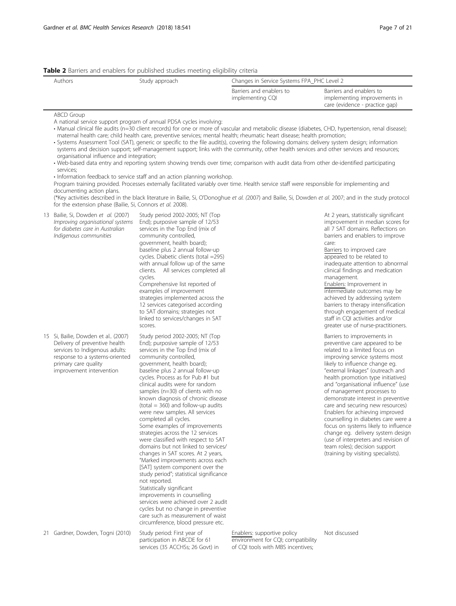#### <span id="page-8-0"></span>Table 2 Barriers and enablers for published studies meeting eligibility criteria

| Authors | Study approach |                                              | Changes in Service Systems FPA PHC Level 2                                                 |  |  |
|---------|----------------|----------------------------------------------|--------------------------------------------------------------------------------------------|--|--|
|         |                | Barriers and enablers to<br>implementing CQI | Barriers and enablers to<br>implementing improvements in<br>care (evidence - practice gap) |  |  |

#### ABCD Group

A national service support program of annual PDSA cycles involving:

- Manual clinical file audits (n=30 client records) for one or more of vascular and metabolic disease (diabetes, CHD, hypertension, renal disease); maternal health care; child health care, preventive services; mental health; rheumatic heart disease; health promotion;
- Systems Assessment Tool (SAT), generic or specific to the file audit(s), covering the following domains: delivery system design; information systems and decision support; self-management support; links with the community, other health services and other services and resources; organisational influence and integration;
- Web-based data entry and reporting system showing trends over time; comparison with audit data from other de-identified participating services;

• Information feedback to service staff and an action planning workshop.

Program training provided. Processes externally facilitated variably over time. Health service staff were responsible for implementing and documenting action plans.

(\*Key activities described in the black literature in Bailie, Si, O'Donoghue et al. (2007) and Bailie, Si, Dowden et al. 2007; and in the study protocol for the extension phase (Bailie, Si, Connors et al. 2008).

| 13 | Bailie, Si, Dowden et al. (2007)<br>Improving organisational systems<br>for diabetes care in Australian<br>Indigenous communities | Study period 2002-2005; NT (Top<br>End); purposive sample of 12/53<br>services in the Top End (mix of<br>community controlled,<br>government, health board);<br>baseline plus 2 annual follow-up<br>cycles. Diabetic clients (total =295)<br>with annual follow up of the same<br>clients. All services completed all<br>cycles.<br>Comprehensive list reported of<br>examples of improvement<br>strategies implemented across the<br>12 services categorised according<br>to SAT domains; strategies not<br>linked to services/changes in SAT<br>scores. |
|----|-----------------------------------------------------------------------------------------------------------------------------------|-----------------------------------------------------------------------------------------------------------------------------------------------------------------------------------------------------------------------------------------------------------------------------------------------------------------------------------------------------------------------------------------------------------------------------------------------------------------------------------------------------------------------------------------------------------|
|    | 15 Si, Bailie, Dowden et al., (2007)<br>.                                                                                         | Study period 2002-2005; NT (Top                                                                                                                                                                                                                                                                                                                                                                                                                                                                                                                           |

Delivery of preventive health services to Indigenous adults: response to a systems-oriented primary care quality improvement intervention

End); purposive sample of 12/53 services in the Top End (mix of community controlled, government, health board); baseline plus 2 annual follow-up cycles. Process as for Pub #1 but clinical audits were for random samples (n=30) of clients with no known diagnosis of chronic disease  $(total = 360)$  and follow-up audits were new samples. All services completed all cycles. Some examples of improvements strategies across the 12 services were classified with respect to SAT domains but not linked to services/ changes in SAT scores. At 2 years, "Marked improvements across each [SAT] system component over the study period"; statistical significance not reported. Statistically significant improvements in counselling services were achieved over 2 audit cycles but no change in preventive care such as measurement of waist circumference, blood pressure etc.

improvement in median scores for all 7 SAT domains. Reflections on barriers and enablers to improve care: Barriers to improved care

At 2 years, statistically significant

appeared to be related to inadequate attention to abnormal clinical findings and medication management.

Enablers: Improvement in intermediate outcomes may be achieved by addressing system barriers to therapy intensification through engagement of medical staff in CQI activities and/or greater use of nurse-practitioners.

Barriers to improvements in preventive care appeared to be related to a limited focus on improving service systems most likely to influence change eg. "external linkages" (outreach and health promotion type initiatives) and "organisational influence" (use of management processes to demonstrate interest in preventive care and securing new resources) Enablers for achieving improved counselling in diabetes care were a focus on systems likely to influence change eg. delivery system design (use of interpreters and revision of team roles); decision support (training by visiting specialists).

21 Gardner, Dowden, Togni (2010) Study period: First year of

participation in ABCDE for 61 services (35 ACCHSs; 26 Govt) in

Enablers: supportive policy environment for CQI; compatibility of CQI tools with MBS incentives;

Not discussed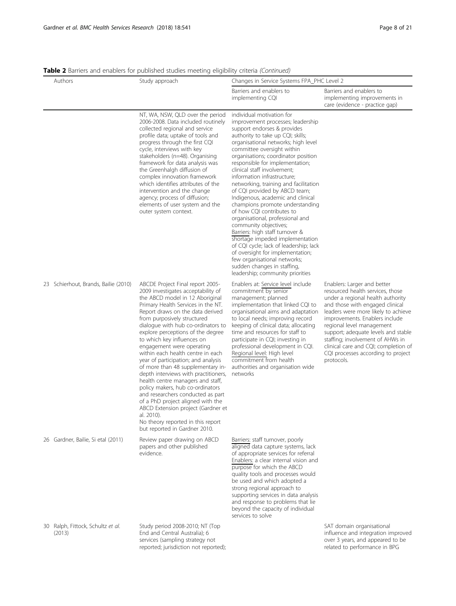Table 2 Barriers and enablers for published studies meeting eligibility criteria (Continued)

| Authors |                                             | <b>Table 2</b> Dalliers and Chablers for published studies inceting chylollity Chicha (Commided)<br>Study approach                                                                                                                                                                                                                                                                                                                                                                                                                                                                                                                                                                                                                                                                             | Changes in Service Systems FPA_PHC Level 2                                                                                                                                                                                                                                                                                                                                                                                                                                                                                                                                                                                                                                                                                                                                                                                                         |                                                                                                                                                                                                                                                                                                                                                                                                                      |  |
|---------|---------------------------------------------|------------------------------------------------------------------------------------------------------------------------------------------------------------------------------------------------------------------------------------------------------------------------------------------------------------------------------------------------------------------------------------------------------------------------------------------------------------------------------------------------------------------------------------------------------------------------------------------------------------------------------------------------------------------------------------------------------------------------------------------------------------------------------------------------|----------------------------------------------------------------------------------------------------------------------------------------------------------------------------------------------------------------------------------------------------------------------------------------------------------------------------------------------------------------------------------------------------------------------------------------------------------------------------------------------------------------------------------------------------------------------------------------------------------------------------------------------------------------------------------------------------------------------------------------------------------------------------------------------------------------------------------------------------|----------------------------------------------------------------------------------------------------------------------------------------------------------------------------------------------------------------------------------------------------------------------------------------------------------------------------------------------------------------------------------------------------------------------|--|
|         |                                             |                                                                                                                                                                                                                                                                                                                                                                                                                                                                                                                                                                                                                                                                                                                                                                                                | Barriers and enablers to<br>implementing CQI                                                                                                                                                                                                                                                                                                                                                                                                                                                                                                                                                                                                                                                                                                                                                                                                       | Barriers and enablers to<br>implementing improvements in<br>care (evidence - practice gap)                                                                                                                                                                                                                                                                                                                           |  |
|         |                                             | NT, WA, NSW, QLD over the period<br>2006-2008. Data included routinely<br>collected regional and service<br>profile data; uptake of tools and<br>progress through the first CQI<br>cycle, interviews with key<br>stakeholders (n=48). Organising<br>framework for data analysis was<br>the Greenhalgh diffusion of<br>complex innovation framework<br>which identifies attributes of the<br>intervention and the change<br>agency; process of diffusion;<br>elements of user system and the<br>outer system context.                                                                                                                                                                                                                                                                           | individual motivation for<br>improvement processes; leadership<br>support endorses & provides<br>authority to take up CQI; skills;<br>organisational networks; high level<br>committee oversight within<br>organisations; coordinator position<br>responsible for implementation;<br>clinical staff involvement;<br>information infrastructure;<br>networking, training and facilitation<br>of CQI provided by ABCD team;<br>Indigenous, academic and clinical<br>champions promote understanding<br>of how CQI contributes to<br>organisational, professional and<br>community objectives;<br>Barriers: high staff turnover &<br>shortage impeded implementation<br>of CQI cycle; lack of leadership; lack<br>of oversight for implementation;<br>few organisational networks;<br>sudden changes in staffing,<br>leadership; community priorities |                                                                                                                                                                                                                                                                                                                                                                                                                      |  |
|         | 23 Schierhout, Brands, Bailie (2010)        | ABCDE Project Final report 2005-<br>2009 investigates acceptability of<br>the ABCD model in 12 Aboriginal<br>Primary Health Services in the NT.<br>Report draws on the data derived<br>from purposively structured<br>dialogue with hub co-ordinators to<br>explore perceptions of the degree<br>to which key influences on<br>engagement were operating<br>within each health centre in each<br>year of participation; and analysis<br>of more than 48 supplementary in-<br>depth interviews with practitioners,<br>health centre managers and staff,<br>policy makers, hub co-ordinators<br>and researchers conducted as part<br>of a PhD project aligned with the<br>ABCD Extension project (Gardner et<br>al. 2010).<br>No theory reported in this report<br>but reported in Gardner 2010. | Enablers at: Service level include<br>commitment by senior<br>management; planned<br>implementation that linked CQI to<br>organisational aims and adaptation<br>to local needs; improving record<br>keeping of clinical data; allocating<br>time and resources for staff to<br>participate in CQI; investing in<br>professional development in CQI.<br>Regional level: High level<br>commitment from health<br>authorities and organisation wide<br>networks                                                                                                                                                                                                                                                                                                                                                                                       | Enablers: Larger and better<br>resourced health services, those<br>under a regional health authority<br>and those with engaged clinical<br>leaders were more likely to achieve<br>improvements. Enablers include<br>regional level management<br>support; adequate levels and stable<br>staffing; involvement of AHWs in<br>clinical care and CQI; completion of<br>CQI processes according to project<br>protocols. |  |
|         | 26 Gardner, Bailie, Si etal (2011)          | Review paper drawing on ABCD<br>papers and other published<br>evidence.                                                                                                                                                                                                                                                                                                                                                                                                                                                                                                                                                                                                                                                                                                                        | Barriers: staff turnover, poorly<br>aligned data capture systems, lack<br>of appropriate services for referral<br>Enablers: a clear internal vision and<br>purpose for which the ABCD<br>quality tools and processes would<br>be used and which adopted a<br>strong regional approach to<br>supporting services in data analysis<br>and response to problems that lie<br>beyond the capacity of individual<br>services to solve                                                                                                                                                                                                                                                                                                                                                                                                                    |                                                                                                                                                                                                                                                                                                                                                                                                                      |  |
|         | 30 Ralph, Fittock, Schultz et al.<br>(2013) | Study period 2008-2010; NT (Top<br>End and Central Australia); 6<br>services (sampling strategy not<br>reported; jurisdiction not reported);                                                                                                                                                                                                                                                                                                                                                                                                                                                                                                                                                                                                                                                   |                                                                                                                                                                                                                                                                                                                                                                                                                                                                                                                                                                                                                                                                                                                                                                                                                                                    | SAT domain organisational<br>influence and integration improved<br>over 3 years, and appeared to be<br>related to performance in BPG                                                                                                                                                                                                                                                                                 |  |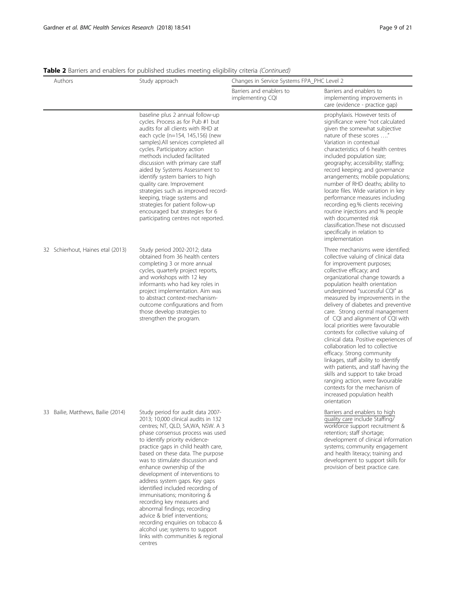Table 2 Barriers and enablers for published studies meeting eligibility criteria (Continued)

| Authors                            | Study approach                                                                                                                                                                                                                                                                                                                                                                                                                                                                                                                                                                                                                                                                             | Changes in Service Systems FPA_PHC Level 2   |                                                                                                                                                                                                                                                                                                                                                                                                                                                                                                                                                                                                                                                                                                                                                                                                                    |  |
|------------------------------------|--------------------------------------------------------------------------------------------------------------------------------------------------------------------------------------------------------------------------------------------------------------------------------------------------------------------------------------------------------------------------------------------------------------------------------------------------------------------------------------------------------------------------------------------------------------------------------------------------------------------------------------------------------------------------------------------|----------------------------------------------|--------------------------------------------------------------------------------------------------------------------------------------------------------------------------------------------------------------------------------------------------------------------------------------------------------------------------------------------------------------------------------------------------------------------------------------------------------------------------------------------------------------------------------------------------------------------------------------------------------------------------------------------------------------------------------------------------------------------------------------------------------------------------------------------------------------------|--|
|                                    |                                                                                                                                                                                                                                                                                                                                                                                                                                                                                                                                                                                                                                                                                            | Barriers and enablers to<br>implementing CQI | Barriers and enablers to<br>implementing improvements in<br>care (evidence - practice gap)                                                                                                                                                                                                                                                                                                                                                                                                                                                                                                                                                                                                                                                                                                                         |  |
|                                    | baseline plus 2 annual follow-up<br>cycles. Process as for Pub #1 but<br>audits for all clients with RHD at<br>each cycle (n=154, 145,156) (new<br>samples).All services completed all<br>cycles. Participatory action<br>methods included facilitated<br>discussion with primary care staff<br>aided by Systems Assessment to<br>identify system barriers to high<br>quality care. Improvement<br>strategies such as improved record-<br>keeping, triage systems and<br>strategies for patient follow-up<br>encouraged but strategies for 6<br>participating centres not reported.                                                                                                        |                                              | prophylaxis. However tests of<br>significance were "not calculated<br>given the somewhat subjective<br>nature of these scores "<br>Variation in contextual<br>characteristics of 6 health centres<br>included population size;<br>geography; accessibility; staffing;<br>record keeping; and governance<br>arrangements; mobile populations;<br>number of RHD deaths; ability to<br>locate files. Wide variation in key<br>performance measures including<br>recording eg.% clients receiving<br>routine injections and % people<br>with documented risk<br>classification. These not discussed<br>specifically in relation to<br>implementation                                                                                                                                                                   |  |
| 32 Schierhout, Haines etal (2013)  | Study period 2002-2012; data<br>obtained from 36 health centers<br>completing 3 or more annual<br>cycles, quarterly project reports,<br>and workshops with 12 key<br>informants who had key roles in<br>project implementation. Aim was<br>to abstract context-mechanism-<br>outcome configurations and from<br>those develop strategies to<br>strengthen the program.                                                                                                                                                                                                                                                                                                                     |                                              | Three mechanisms were identified:<br>collective valuing of clinical data<br>for improvement purposes;<br>collective efficacy; and<br>organizational change towards a<br>population health orientation<br>underpinned "successful CQI" as<br>measured by improvements in the<br>delivery of diabetes and preventive<br>care. Strong central management<br>of CQI and alignment of CQI with<br>local priorities were favourable<br>contexts for collective valuing of<br>clinical data. Positive experiences of<br>collaboration led to collective<br>efficacy. Strong community<br>linkages, staff ability to identify<br>with patients, and staff having the<br>skills and support to take broad<br>ranging action, were favourable<br>contexts for the mechanism of<br>increased population health<br>orientation |  |
| 33 Bailie, Matthews, Bailie (2014) | Study period for audit data 2007-<br>2013; 10,000 clinical audits in 132<br>centres; NT, QLD, SA,WA, NSW. A 3<br>phase consensus process was used<br>to identify priority evidence-<br>practice gaps in child health care,<br>based on these data. The purpose<br>was to stimulate discussion and<br>enhance ownership of the<br>development of interventions to<br>address system gaps. Key gaps<br>identified included recording of<br>immunisations; monitoring &<br>recording key measures and<br>abnormal findings; recording<br>advice & brief interventions;<br>recording enquiries on tobacco &<br>alcohol use; systems to support<br>links with communities & regional<br>centres |                                              | Barriers and enablers to high<br>quality care include Staffing/<br>workforce support recruitment &<br>retention; staff shortage;<br>development of clinical information<br>systems; community engagement<br>and health literacy; training and<br>development to support skills for<br>provision of best practice care.                                                                                                                                                                                                                                                                                                                                                                                                                                                                                             |  |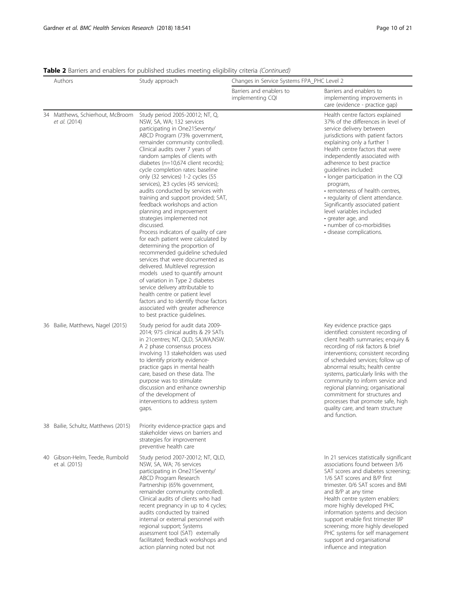| Table 2 Barriers and enablers for published studies meeting eligibility criteria (Continued) |  |  |  |
|----------------------------------------------------------------------------------------------|--|--|--|
|                                                                                              |  |  |  |

| Authors |                                                   | Study approach                                                                                                                                                                                                                                                                                                                                                                                                                                                                                                                                                                                                                                                                                                                                                                                                                                                                                                                                                                                                                                                            | Changes in Service Systems FPA_PHC Level 2   |                                                                                                                                                                                                                                                                                                                                                                                                                                                                                                                                                                            |  |
|---------|---------------------------------------------------|---------------------------------------------------------------------------------------------------------------------------------------------------------------------------------------------------------------------------------------------------------------------------------------------------------------------------------------------------------------------------------------------------------------------------------------------------------------------------------------------------------------------------------------------------------------------------------------------------------------------------------------------------------------------------------------------------------------------------------------------------------------------------------------------------------------------------------------------------------------------------------------------------------------------------------------------------------------------------------------------------------------------------------------------------------------------------|----------------------------------------------|----------------------------------------------------------------------------------------------------------------------------------------------------------------------------------------------------------------------------------------------------------------------------------------------------------------------------------------------------------------------------------------------------------------------------------------------------------------------------------------------------------------------------------------------------------------------------|--|
|         |                                                   |                                                                                                                                                                                                                                                                                                                                                                                                                                                                                                                                                                                                                                                                                                                                                                                                                                                                                                                                                                                                                                                                           | Barriers and enablers to<br>implementing CQI | Barriers and enablers to<br>implementing improvements in<br>care (evidence - practice gap)                                                                                                                                                                                                                                                                                                                                                                                                                                                                                 |  |
|         | 34 Matthews, Schierhout, McBroom<br>et al. (2014) | Study period 2005-20012; NT, Q,<br>NSW, SA, WA; 132 services<br>participating in One21Seventy/<br>ABCD Program (73% government,<br>remainder community controlled).<br>Clinical audits over 7 years of<br>random samples of clients with<br>diabetes (n=10,674 client records);<br>cycle completion rates: baseline<br>only (32 services) 1-2 cycles (55<br>services), ≥3 cycles (45 services);<br>audits conducted by services with<br>training and support provided; SAT,<br>feedback workshops and action<br>planning and improvement<br>strategies implemented not<br>discussed.<br>Process indicators of quality of care<br>for each patient were calculated by<br>determining the proportion of<br>recommended guideline scheduled<br>services that were documented as<br>delivered. Multilevel regression<br>models used to quantify amount<br>of variation in Type 2 diabetes<br>service delivery attributable to<br>health centre or patient level<br>factors and to identify those factors<br>associated with greater adherence<br>to best practice guidelines. |                                              | Health centre factors explained<br>37% of the differences in level of<br>service delivery between<br>jurisdictions with patient factors<br>explaining only a further 1<br>Health centre factors that were<br>independently associated with<br>adherence to best practice<br>guidelines included:<br>• longer participation in the CQI<br>program,<br>• remoteness of health centres,<br>• regularity of client attendance.<br>Significantly associated patient<br>level variables included<br>• greater age, and<br>· number of co-morbidities<br>· disease complications. |  |
|         | 36 Bailie, Matthews, Nagel (2015)                 | Study period for audit data 2009-<br>2014; 975 clinical audits & 29 SATs<br>in 21 centres; NT, QLD, SA, WA, NSW.<br>A 2 phase consensus process<br>involving 13 stakeholders was used<br>to identify priority evidence-<br>practice gaps in mental health<br>care, based on these data. The<br>purpose was to stimulate<br>discussion and enhance ownership<br>of the development of<br>interventions to address system<br>gaps.                                                                                                                                                                                                                                                                                                                                                                                                                                                                                                                                                                                                                                          |                                              | Key evidence practice gaps<br>identified: consistent recording of<br>client health summaries; enquiry &<br>recording of risk factors & brief<br>interventions; consistent recording<br>of scheduled services; follow up of<br>abnormal results; health centre<br>systems, particularly links with the<br>community to inform service and<br>regional planning; organisational<br>commitment for structures and<br>processes that promote safe, high<br>quality care, and team structure<br>and function.                                                                   |  |
|         | 38 Bailie, Schultz, Matthews (2015)               | Priority evidence-practice gaps and<br>stakeholder views on barriers and<br>strategies for improvement<br>preventive health care                                                                                                                                                                                                                                                                                                                                                                                                                                                                                                                                                                                                                                                                                                                                                                                                                                                                                                                                          |                                              |                                                                                                                                                                                                                                                                                                                                                                                                                                                                                                                                                                            |  |
|         | 40 Gibson-Helm, Teede, Rumbold<br>et al. (2015)   | Study period 2007-20012; NT, QLD,<br>NSW, SA, WA; 76 services<br>participating in One21Seventy/<br>ABCD Program Research<br>Partnership (65% government,<br>remainder community controlled).<br>Clinical audits of clients who had<br>recent pregnancy in up to 4 cycles;<br>audits conducted by trained<br>internal or external personnel with<br>regional support; Systems<br>assessment tool (SAT) externally<br>facilitated; feedback workshops and<br>action planning noted but not                                                                                                                                                                                                                                                                                                                                                                                                                                                                                                                                                                                  |                                              | In 21 services statistically significant<br>associations found between 3/6<br>SAT scores and diabetes screening;<br>1/6 SAT scores and B/P first<br>trimester. 0/6 SAT scores and BMI<br>and B/P at any time<br>Health centre system enablers:<br>more highly developed PHC<br>information systems and decision<br>support enable first trimester BP<br>screening; more highly developed<br>PHC systems for self management<br>support and organisational<br>influence and integration                                                                                     |  |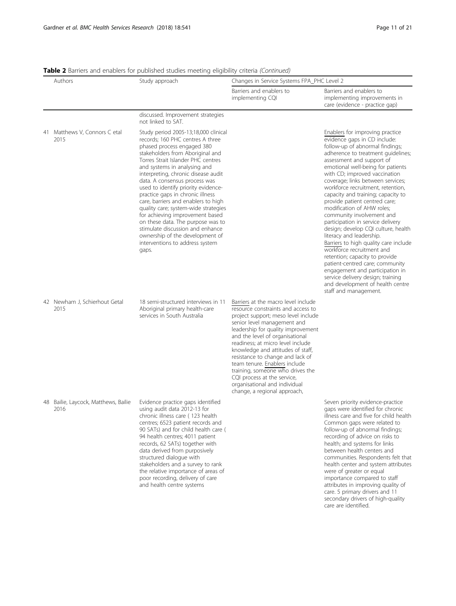secondary drivers of high-quality

care are identified.

|    | Authors                                   | Study approach                                                                                                                                                                                                                                                                                                                                                                                                                                                                                                                                                                                                                                | Changes in Service Systems FPA_PHC Level 2                                                                                                                                                                                                                                                                                                                                                                                                                                                                  |                                                                                                                                                                                                                                                                                                                                                                                                                                                                                                                                                                                                                                                                                                                                                                                                                                                 |  |  |
|----|-------------------------------------------|-----------------------------------------------------------------------------------------------------------------------------------------------------------------------------------------------------------------------------------------------------------------------------------------------------------------------------------------------------------------------------------------------------------------------------------------------------------------------------------------------------------------------------------------------------------------------------------------------------------------------------------------------|-------------------------------------------------------------------------------------------------------------------------------------------------------------------------------------------------------------------------------------------------------------------------------------------------------------------------------------------------------------------------------------------------------------------------------------------------------------------------------------------------------------|-------------------------------------------------------------------------------------------------------------------------------------------------------------------------------------------------------------------------------------------------------------------------------------------------------------------------------------------------------------------------------------------------------------------------------------------------------------------------------------------------------------------------------------------------------------------------------------------------------------------------------------------------------------------------------------------------------------------------------------------------------------------------------------------------------------------------------------------------|--|--|
|    |                                           |                                                                                                                                                                                                                                                                                                                                                                                                                                                                                                                                                                                                                                               | Barriers and enablers to<br>implementing CQI                                                                                                                                                                                                                                                                                                                                                                                                                                                                | Barriers and enablers to<br>implementing improvements in<br>care (evidence - practice gap)                                                                                                                                                                                                                                                                                                                                                                                                                                                                                                                                                                                                                                                                                                                                                      |  |  |
|    |                                           | discussed. Improvement strategies<br>not linked to SAT.                                                                                                                                                                                                                                                                                                                                                                                                                                                                                                                                                                                       |                                                                                                                                                                                                                                                                                                                                                                                                                                                                                                             |                                                                                                                                                                                                                                                                                                                                                                                                                                                                                                                                                                                                                                                                                                                                                                                                                                                 |  |  |
|    | 41 Matthews V, Connors C etal<br>2015     | Study period 2005-13;18,000 clinical<br>records; 160 PHC centres A three<br>phased process engaged 380<br>stakeholders from Aboriginal and<br>Torres Strait Islander PHC centres<br>and systems in analysing and<br>interpreting, chronic disease audit<br>data. A consensus process was<br>used to identify priority evidence-<br>practice gaps in chronic illness<br>care, barriers and enablers to high<br>quality care; system-wide strategies<br>for achieving improvement based<br>on these data. The purpose was to<br>stimulate discussion and enhance<br>ownership of the development of<br>interventions to address system<br>gaps. |                                                                                                                                                                                                                                                                                                                                                                                                                                                                                                             | Enablers for improving practice<br>evidence gaps in CD include:<br>follow-up of abnormal findings;<br>adherence to treatment guidelines;<br>assessment and support of<br>emotional well-being for patients<br>with CD; improved vaccination<br>coverage; links between services;<br>workforce recruitment, retention,<br>capacity and training; capacity to<br>provide patient centred care;<br>modification of AHW roles;<br>community involvement and<br>participation in service delivery<br>design; develop CQI culture, health<br>literacy and leadership.<br>Barriers to high quality care include<br>workforce recruitment and<br>retention; capacity to provide<br>patient-centred care; community<br>engagement and participation in<br>service delivery design; training<br>and development of health centre<br>staff and management. |  |  |
|    | 42 Newham J, Schierhout Getal<br>2015     | 18 semi-structured interviews in 11<br>Aboriginal primary health-care<br>services in South Australia                                                                                                                                                                                                                                                                                                                                                                                                                                                                                                                                          | Barriers at the macro level include<br>resource constraints and access to<br>project support; meso level include<br>senior level management and<br>leadership for quality improvement<br>and the level of organisational<br>readiness; at micro level include<br>knowledge and attitudes of staff,<br>resistance to change and lack of<br>team tenure. Enablers include<br>training, someone who drives the<br>CQI process at the service,<br>organisational and individual<br>change, a regional approach, |                                                                                                                                                                                                                                                                                                                                                                                                                                                                                                                                                                                                                                                                                                                                                                                                                                                 |  |  |
| 48 | Bailie, Laycock, Matthews, Bailie<br>2016 | Evidence practice gaps identified<br>using audit data 2012-13 for<br>chronic illness care (123 health<br>centres; 6523 patient records and<br>90 SATs) and for child health care (<br>94 health centres; 4011 patient<br>records, 62 SATs) together with<br>data derived from purposively<br>structured dialogue with<br>stakeholders and a survey to rank<br>the relative importance of areas of<br>poor recording, delivery of care<br>and health centre systems                                                                                                                                                                            |                                                                                                                                                                                                                                                                                                                                                                                                                                                                                                             | Seven priority evidence-practice<br>gaps were identified for chronic<br>illness care and five for child health<br>Common gaps were related to<br>follow-up of abnormal findings;<br>recording of advice on risks to<br>health; and systems for links<br>between health centers and<br>communities. Respondents felt that<br>health center and system attributes<br>were of greater or equal<br>importance compared to staff<br>attributes in improving quality of<br>care. 5 primary drivers and 11                                                                                                                                                                                                                                                                                                                                             |  |  |

Table 2 Barriers and enablers for published studies meeting eligibility criteria (Continued)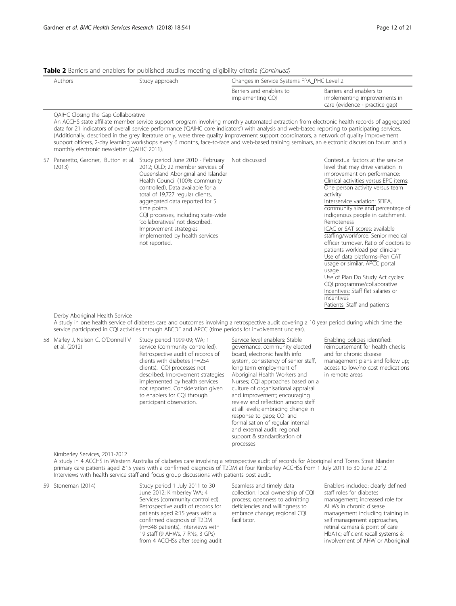#### Table 2 Barriers and enablers for published studies meeting eligibility criteria (Continued)

| Authors | Study approach |                                              | Changes in Service Systems FPA_PHC Level 2                                                 |  |  |
|---------|----------------|----------------------------------------------|--------------------------------------------------------------------------------------------|--|--|
|         |                | Barriers and enablers to<br>implementing CQI | Barriers and enablers to<br>implementing improvements in<br>care (evidence - practice gap) |  |  |

#### QAIHC Closing the Gap Collaborative

An ACCHS state affiliate member service support program involving monthly automated extraction from electronic health records of aggregated data for 21 indicators of overall service performance ('QAIHC core indicators') with analysis and web-based reporting to participating services. (Additionally, described in the grey literature only, were three quality improvement support coordinators, a network of quality improvement support officers, 2-day learning workshops every 6 months, face-to-face and web-based training seminars, an electronic discussion forum and a monthly electronic newsletter (QAIHC 2011).

| (2013) | 57 Panaretto, Gardner, Button et al. Study period June 2010 - February<br>2012; QLD; 22 member services of<br>Queensland Aboriginal and Islander<br>Health Council (100% community<br>controlled). Data available for a<br>total of 19,727 regular clients,<br>aggregated data reported for 5<br>time points.<br>CQI processes, including state-wide<br>'collaboratives' not described.<br>Improvement strategies<br>implemented by health services<br>not reported. | Not discussed | Contextual factors at the service<br>level that may drive variation in<br>improvement on performance:<br>Clinical activities versus EPC items:<br>One person activity versus team<br>activity<br>Interservice variation: SEIFA,<br>community size and percentage of<br>indigenous people in catchment.<br>Remoteness<br>ICAC or SAT scores: available<br>staffing/workforce. Senior medical<br>officer turnover. Ratio of doctors to<br>patients workload per clinician<br>Use of data platforms-Pen CAT<br>usage or similar. APCC portal<br>usage.<br>Use of Plan Do Study Act cycles:<br>CQI programme/collaborative<br>Incentives: Staff flat salaries or<br>incentives |
|--------|----------------------------------------------------------------------------------------------------------------------------------------------------------------------------------------------------------------------------------------------------------------------------------------------------------------------------------------------------------------------------------------------------------------------------------------------------------------------|---------------|----------------------------------------------------------------------------------------------------------------------------------------------------------------------------------------------------------------------------------------------------------------------------------------------------------------------------------------------------------------------------------------------------------------------------------------------------------------------------------------------------------------------------------------------------------------------------------------------------------------------------------------------------------------------------|
|        |                                                                                                                                                                                                                                                                                                                                                                                                                                                                      |               | Patients: Staff and patients                                                                                                                                                                                                                                                                                                                                                                                                                                                                                                                                                                                                                                               |

#### Derby Aboriginal Health Service

A study in one health service of diabetes care and outcomes involving a retrospective audit covering a 10 year period during which time the service participated in CQI activities through ABCDE and APCC (time periods for involvement unclear).

58 Marley J, Nelson C, O'Donnell V et al. (2012)

Study period 1999-09; WA; 1 service (community controlled). Retrospective audit of records of clients with diabetes (n=254 clients). CQI processes not described; Improvement strategies implemented by health services not reported. Consideration given to enablers for CQI through participant observation.

#### Service level enablers: Stable

governance, community elected board, electronic health info system, consistency of senior staff, long term employment of Aboriginal Health Workers and Nurses; CQI approaches based on a culture of organisational appraisal and improvement; encouraging review and reflection among staff at all levels; embracing change in response to gaps; CQI and formalisation of regular internal and external audit; regional support & standardisation of processes

#### Enabling policies identified: reimbursement for health checks and for chronic disease management plans and follow up; access to low/no cost medications in remote areas

#### Kimberley Services, 2011-2012

A study in 4 ACCHS in Western Australia of diabetes care involving a retrospective audit of records for Aboriginal and Torres Strait Islander primary care patients aged ≥15 years with a confirmed diagnosis of T2DM at four Kimberley ACCHSs from 1 July 2011 to 30 June 2012. Interviews with health service staff and focus group discussions with patients post audit.

59 Stoneman (2014) Study period 1 July 2011 to 30 June 2012; Kimberley WA; 4 Services (community controlled). Retrospective audit of records for patients aged ≥15 years with a confirmed diagnosis of T2DM (n=348 patients). Interviews with 19 staff (9 AHWs, 7 RNs, 3 GPs) from 4 ACCHSs after seeing audit Seamless and timely data collection; local ownership of CQI process; openness to admitting deficiencies and willingness to embrace change; regional CQI facilitator.

Enablers included: clearly defined staff roles for diabetes management; increased role for AHWs in chronic disease management including training in self management approaches, retinal camera & point of care HbA1c; efficient recall systems & involvement of AHW or Aboriginal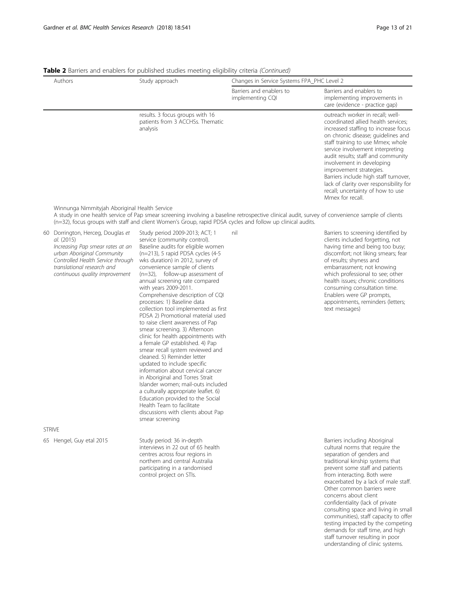|                                                                                                                                                                                                                                                                                                                   | Authors                                                                                                                                                                                                             | Study approach                                                                                                                                                                                                                                             | Changes in Service Systems FPA_PHC Level 2   |                                                                                                                                                                                                                                                                                                                                                                                                                                                                           |  |
|-------------------------------------------------------------------------------------------------------------------------------------------------------------------------------------------------------------------------------------------------------------------------------------------------------------------|---------------------------------------------------------------------------------------------------------------------------------------------------------------------------------------------------------------------|------------------------------------------------------------------------------------------------------------------------------------------------------------------------------------------------------------------------------------------------------------|----------------------------------------------|---------------------------------------------------------------------------------------------------------------------------------------------------------------------------------------------------------------------------------------------------------------------------------------------------------------------------------------------------------------------------------------------------------------------------------------------------------------------------|--|
|                                                                                                                                                                                                                                                                                                                   |                                                                                                                                                                                                                     |                                                                                                                                                                                                                                                            | Barriers and enablers to<br>implementing CQI | Barriers and enablers to<br>implementing improvements in<br>care (evidence - practice gap)                                                                                                                                                                                                                                                                                                                                                                                |  |
|                                                                                                                                                                                                                                                                                                                   |                                                                                                                                                                                                                     | results. 3 focus groups with 16<br>patients from 3 ACCHSs. Thematic<br>analysis                                                                                                                                                                            |                                              | outreach worker in recall; well-<br>coordinated allied health services;<br>increased staffing to increase focus<br>on chronic disease; guidelines and<br>staff training to use Mmex; whole<br>service involvement interpreting<br>audit results; staff and community<br>involvement in developing<br>improvement strategies.<br>Barriers include high staff turnover,<br>lack of clarity over responsibility for<br>recall; uncertainty of how to use<br>Mmex for recall. |  |
| Winnunga Nimmityjah Aboriginal Health Service<br>A study in one health service of Pap smear screening involving a baseline retrospective clinical audit, survey of convenience sample of clients<br>$(n=32)$ , focus groups with staff and client Women's Group, rapid PDSA cycles and follow up clinical audits. |                                                                                                                                                                                                                     |                                                                                                                                                                                                                                                            |                                              |                                                                                                                                                                                                                                                                                                                                                                                                                                                                           |  |
| 60                                                                                                                                                                                                                                                                                                                | Dorrington, Herceg, Douglas et<br>al. (2015)<br>Increasing Pap smear rates at an<br>urban Aboriginal Community<br>Controlled Health Service through<br>translational research and<br>continuous quality improvement | Study period 2009-2013; ACT; 1<br>service (community control).<br>Baseline audits for eligible women<br>$(n=213)$ , 5 rapid PDSA cycles $(4-5)$<br>wks duration) in 2012, survey of<br>convenience sample of clients<br>$(n=32)$ , follow-up assessment of | nil                                          | Barriers to screening identified by<br>clients included forgetting, not<br>having time and being too busy;<br>discomfort; not liking smears; fear<br>of results; shyness and<br>embarrassment; not knowing<br>which professional to see; other                                                                                                                                                                                                                            |  |

annual screening rate compared with years 2009-2011. Comprehensive description of CQI processes: 1) Baseline data collection tool implemented as first PDSA 2) Promotional material used to raise client awareness of Pap smear screening. 3) Afternoon clinic for health appointments with a female GP established. 4) Pap smear recall system reviewed and cleaned. 5) Reminder letter updated to include specific information about cervical cancer in Aboriginal and Torres Strait Islander women; mail-outs included a culturally appropriate leaflet. 6) Education provided to the Social Health Team to facilitate discussions with clients about Pap smear screening

health issues; chronic conditions consuming consultation time. Enablers were GP prompts, appointments, reminders (letters; text messages)

#### STRIVE

65 Hengel, Guy etal 2015 Study period: 36 in-depth

interviews in 22 out of 65 health centres across four regions in northern and central Australia participating in a randomised control project on STIs.

Barriers including Aboriginal cultural norms that require the separation of genders and traditional kinship systems that prevent some staff and patients from interacting. Both were exacerbated by a lack of male staff. Other common barriers were concerns about client confidentiality (lack of private consulting space and living in small communities), staff capacity to offer testing impacted by the competing demands for staff time, and high staff turnover resulting in poor understanding of clinic systems.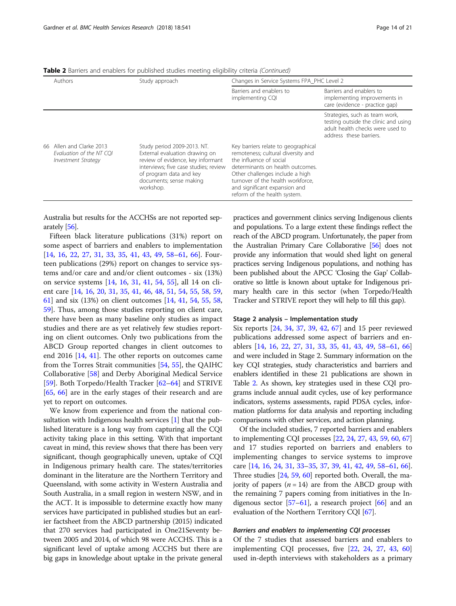| Authors                                                                     | Study approach                                                                                                                                                                                                 | Changes in Service Systems FPA_PHC Level 2                                                                                                                                                                                                                                        |                                                                                                                                       |  |
|-----------------------------------------------------------------------------|----------------------------------------------------------------------------------------------------------------------------------------------------------------------------------------------------------------|-----------------------------------------------------------------------------------------------------------------------------------------------------------------------------------------------------------------------------------------------------------------------------------|---------------------------------------------------------------------------------------------------------------------------------------|--|
|                                                                             |                                                                                                                                                                                                                | Barriers and enablers to<br>implementing CQI                                                                                                                                                                                                                                      | Barriers and enablers to<br>implementing improvements in<br>care (evidence - practice gap)                                            |  |
|                                                                             |                                                                                                                                                                                                                |                                                                                                                                                                                                                                                                                   | Strategies, such as team work,<br>testing outside the clinic and using<br>adult health checks were used to<br>address these barriers. |  |
| 66 Allen and Clarke 2013<br>Evaluation of the NT COI<br>Investment Strategy | Study period 2009-2013. NT.<br>External evaluation drawing on<br>review of evidence, key informant<br>interviews; five case studies; review<br>of program data and key<br>documents; sense making<br>workshop. | Key barriers relate to geographical<br>remoteness; cultural diversity and<br>the influence of social<br>determinants on health outcomes.<br>Other challenges include a high<br>turnover of the health workforce,<br>and significant expansion and<br>reform of the health system. |                                                                                                                                       |  |

Table 2 Barriers and enablers for published studies meeting eligibility criteria (Continued)

Australia but results for the ACCHSs are not reported sep-arately [\[56](#page-21-0)].

Fifteen black literature publications (31%) report on some aspect of barriers and enablers to implementation [[14,](#page-20-0) [16](#page-20-0), [22](#page-20-0), [27,](#page-21-0) [31,](#page-21-0) [33](#page-21-0), [35](#page-21-0), [41,](#page-21-0) [43,](#page-21-0) [49,](#page-21-0) [58](#page-22-0)–[61](#page-22-0), [66\]](#page-22-0). Fourteen publications (29%) report on changes to service systems and/or care and and/or client outcomes - six (13%) on service systems [[14](#page-20-0), [16,](#page-20-0) [31](#page-21-0), [41](#page-21-0), [54](#page-21-0), [55](#page-21-0)], all 14 on client care [\[14](#page-20-0), [16](#page-20-0), [20](#page-20-0), [31,](#page-21-0) [35,](#page-21-0) [41,](#page-21-0) [46](#page-21-0), [48](#page-21-0), [51,](#page-21-0) [54,](#page-21-0) [55](#page-21-0), [58](#page-22-0), [59](#page-22-0), [61\]](#page-22-0) and six (13%) on client outcomes [[14](#page-20-0), [41,](#page-21-0) [54,](#page-21-0) [55](#page-21-0), [58](#page-22-0), [59\]](#page-22-0). Thus, among those studies reporting on client care, there have been as many baseline only studies as impact studies and there are as yet relatively few studies reporting on client outcomes. Only two publications from the ABCD Group reported changes in client outcomes to end 2016 [\[14](#page-20-0), [41](#page-21-0)]. The other reports on outcomes came from the Torres Strait communities [\[54](#page-21-0), [55](#page-21-0)], the QAIHC Collaborative [\[58\]](#page-22-0) and Derby Aboriginal Medical Service [[59\]](#page-22-0). Both Torpedo/Health Tracker [\[62](#page-22-0)–[64\]](#page-22-0) and STRIVE [[65,](#page-22-0) [66](#page-22-0)] are in the early stages of their research and are yet to report on outcomes.

We know from experience and from the national consultation with Indigenous health services [[1](#page-20-0)] that the published literature is a long way from capturing all the CQI activity taking place in this setting. With that important caveat in mind, this review shows that there has been very significant, though geographically uneven, uptake of CQI in Indigenous primary health care. The states/territories dominant in the literature are the Northern Territory and Queensland, with some activity in Western Australia and South Australia, in a small region in western NSW, and in the ACT. It is impossible to determine exactly how many services have participated in published studies but an earlier factsheet from the ABCD partnership (2015) indicated that 270 services had participated in One21Seventy between 2005 and 2014, of which 98 were ACCHS. This is a significant level of uptake among ACCHS but there are big gaps in knowledge about uptake in the private general

practices and government clinics serving Indigenous clients and populations. To a large extent these findings reflect the reach of the ABCD program. Unfortunately, the paper from the Australian Primary Care Collaborative [[56\]](#page-21-0) does not provide any information that would shed light on general practices serving Indigenous populations, and nothing has been published about the APCC 'Closing the Gap' Collaborative so little is known about uptake for Indigenous primary health care in this sector (when Torpedo/Health Tracker and STRIVE report they will help to fill this gap).

#### Stage 2 analysis – Implementation study

Six reports [\[24](#page-20-0), [34](#page-21-0), [37,](#page-21-0) [39](#page-21-0), [42,](#page-21-0) [67](#page-22-0)] and 15 peer reviewed publications addressed some aspect of barriers and enablers [[14](#page-20-0), [16](#page-20-0), [22](#page-20-0), [27,](#page-21-0) [31,](#page-21-0) [33,](#page-21-0) [35,](#page-21-0) [41](#page-21-0), [43](#page-21-0), [49](#page-21-0), [58](#page-22-0)–[61,](#page-22-0) [66](#page-22-0)] and were included in Stage 2. Summary information on the key CQI strategies, study characteristics and barriers and enablers identified in these 21 publications are shown in Table [2](#page-8-0). As shown, key strategies used in these CQI programs include annual audit cycles, use of key performance indicators, systems assessments, rapid PDSA cycles, information platforms for data analysis and reporting including comparisons with other services, and action planning.

Of the included studies, 7 reported barriers and enablers to implementing CQI processes [\[22,](#page-20-0) [24](#page-20-0), [27](#page-21-0), [43,](#page-21-0) [59](#page-22-0), [60,](#page-22-0) [67](#page-22-0)] and 17 studies reported on barriers and enablers to implementing changes to service systems to improve care [[14](#page-20-0), [16](#page-20-0), [24](#page-20-0), [31](#page-21-0), [33](#page-21-0)–[35,](#page-21-0) [37,](#page-21-0) [39,](#page-21-0) [41,](#page-21-0) [42,](#page-21-0) [49,](#page-21-0) [58](#page-22-0)–[61](#page-22-0), [66](#page-22-0)]. Three studies [[24](#page-20-0), [59](#page-22-0), [60](#page-22-0)] reported both. Overall, the majority of papers ( $n = 14$ ) are from the ABCD group with the remaining 7 papers coming from initiatives in the Indigenous sector  $[57-61]$  $[57-61]$  $[57-61]$  $[57-61]$ , a research project  $[66]$  $[66]$  $[66]$  and an evaluation of the Northern Territory CQI [\[67](#page-22-0)].

#### Barriers and enablers to implementing CQI processes

Of the 7 studies that assessed barriers and enablers to implementing CQI processes, five [[22](#page-20-0), [24](#page-20-0), [27](#page-21-0), [43](#page-21-0), [60](#page-22-0)] used in-depth interviews with stakeholders as a primary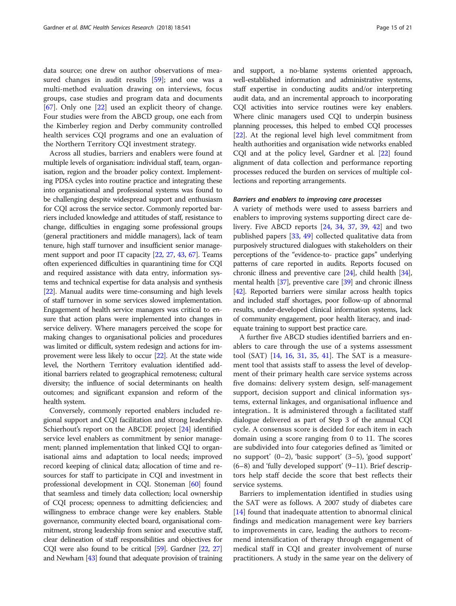data source; one drew on author observations of measured changes in audit results  $[59]$ ; and one was a multi-method evaluation drawing on interviews, focus groups, case studies and program data and documents [[67\]](#page-22-0). Only one [[22\]](#page-20-0) used an explicit theory of change. Four studies were from the ABCD group, one each from the Kimberley region and Derby community controlled health services CQI programs and one an evaluation of the Northern Territory CQI investment strategy.

Across all studies, barriers and enablers were found at multiple levels of organisation: individual staff, team, organisation, region and the broader policy context. Implementing PDSA cycles into routine practice and integrating these into organisational and professional systems was found to be challenging despite widespread support and enthusiasm for CQI across the service sector. Commonly reported barriers included knowledge and attitudes of staff, resistance to change, difficulties in engaging some professional groups (general practitioners and middle managers), lack of team tenure, high staff turnover and insufficient senior management support and poor IT capacity [[22,](#page-20-0) [27,](#page-21-0) [43](#page-21-0), [67\]](#page-22-0). Teams often experienced difficulties in quarantining time for CQI and required assistance with data entry, information systems and technical expertise for data analysis and synthesis [[22](#page-20-0)]. Manual audits were time-consuming and high levels of staff turnover in some services slowed implementation. Engagement of health service managers was critical to ensure that action plans were implemented into changes in service delivery. Where managers perceived the scope for making changes to organisational policies and procedures was limited or difficult, system redesign and actions for improvement were less likely to occur [\[22\]](#page-20-0). At the state wide level, the Northern Territory evaluation identified additional barriers related to geographical remoteness; cultural diversity; the influence of social determinants on health outcomes; and significant expansion and reform of the health system.

Conversely, commonly reported enablers included regional support and CQI facilitation and strong leadership. Schierhout's report on the ABCDE project [[24](#page-20-0)] identified service level enablers as commitment by senior management; planned implementation that linked CQI to organisational aims and adaptation to local needs; improved record keeping of clinical data; allocation of time and resources for staff to participate in CQI and investment in professional development in CQI. Stoneman [[60](#page-22-0)] found that seamless and timely data collection; local ownership of CQI process; openness to admitting deficiencies; and willingness to embrace change were key enablers. Stable governance, community elected board, organisational commitment, strong leadership from senior and executive staff, clear delineation of staff responsibilities and objectives for CQI were also found to be critical [[59\]](#page-22-0). Gardner [[22](#page-20-0), [27](#page-21-0)] and Newham [\[43](#page-21-0)] found that adequate provision of training and support, a no-blame systems oriented approach, well-established information and administrative systems, staff expertise in conducting audits and/or interpreting audit data, and an incremental approach to incorporating CQI activities into service routines were key enablers. Where clinic managers used CQI to underpin business planning processes, this helped to embed CQI processes [[22](#page-20-0)]. At the regional level high level commitment from health authorities and organisation wide networks enabled CQI and at the policy level, Gardner et al. [\[22](#page-20-0)] found alignment of data collection and performance reporting processes reduced the burden on services of multiple collections and reporting arrangements.

#### Barriers and enablers to improving care processes

A variety of methods were used to assess barriers and enablers to improving systems supporting direct care delivery. Five ABCD reports [[24,](#page-20-0) [34,](#page-21-0) [37](#page-21-0), [39](#page-21-0), [42\]](#page-21-0) and two published papers [[33,](#page-21-0) [49](#page-21-0)] collected qualitative data from purposively structured dialogues with stakeholders on their perceptions of the "evidence-to- practice gaps" underlying patterns of care reported in audits. Reports focused on chronic illness and preventive care [[24](#page-20-0)], child health [\[34](#page-21-0)], mental health [\[37\]](#page-21-0), preventive care [[39](#page-21-0)] and chronic illness [[42](#page-21-0)]. Reported barriers were similar across health topics and included staff shortages, poor follow-up of abnormal results, under-developed clinical information systems, lack of community engagement, poor health literacy, and inadequate training to support best practice care.

A further five ABCD studies identified barriers and enablers to care through the use of a systems assessment tool (SAT) [\[14](#page-20-0), [16](#page-20-0), [31](#page-21-0), [35](#page-21-0), [41](#page-21-0)]. The SAT is a measurement tool that assists staff to assess the level of development of their primary health care service systems across five domains: delivery system design, self-management support, decision support and clinical information systems, external linkages, and organisational influence and integration.. It is administered through a facilitated staff dialogue delivered as part of Step 3 of the annual CQI cycle. A consensus score is decided for each item in each domain using a score ranging from 0 to 11. The scores are subdivided into four categories defined as 'limited or no support' (0–2), 'basic support' (3–5), 'good support'  $(6–8)$  and 'fully developed support'  $(9–11)$ . Brief descriptors help staff decide the score that best reflects their service systems.

Barriers to implementation identified in studies using the SAT were as follows. A 2007 study of diabetes care [[14\]](#page-20-0) found that inadequate attention to abnormal clinical findings and medication management were key barriers to improvements in care, leading the authors to recommend intensification of therapy through engagement of medical staff in CQI and greater involvement of nurse practitioners. A study in the same year on the delivery of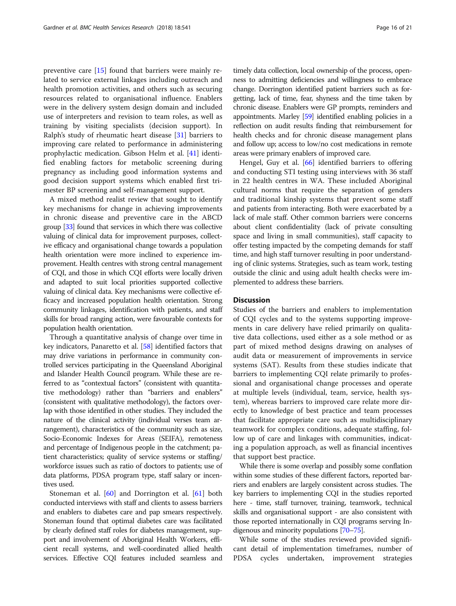preventive care [\[15](#page-20-0)] found that barriers were mainly related to service external linkages including outreach and health promotion activities, and others such as securing resources related to organisational influence. Enablers were in the delivery system design domain and included use of interpreters and revision to team roles, as well as training by visiting specialists (decision support). In Ralph's study of rheumatic heart disease [[31\]](#page-21-0) barriers to improving care related to performance in administering prophylactic medication. Gibson Helm et al. [\[41\]](#page-21-0) identified enabling factors for metabolic screening during pregnancy as including good information systems and good decision support systems which enabled first trimester BP screening and self-management support.

A mixed method realist review that sought to identify key mechanisms for change in achieving improvements in chronic disease and preventive care in the ABCD group [\[33\]](#page-21-0) found that services in which there was collective valuing of clinical data for improvement purposes, collective efficacy and organisational change towards a population health orientation were more inclined to experience improvement. Health centres with strong central management of CQI, and those in which CQI efforts were locally driven and adapted to suit local priorities supported collective valuing of clinical data. Key mechanisms were collective efficacy and increased population health orientation. Strong community linkages, identification with patients, and staff skills for broad ranging action, were favourable contexts for population health orientation.

Through a quantitative analysis of change over time in key indicators, Panaretto et al. [[58\]](#page-22-0) identified factors that may drive variations in performance in community controlled services participating in the Queensland Aboriginal and Islander Health Council program. While these are referred to as "contextual factors" (consistent with quantitative methodology) rather than "barriers and enablers" (consistent with qualitative methodology), the factors overlap with those identified in other studies. They included the nature of the clinical activity (individual verses team arrangement), characteristics of the community such as size, Socio-Economic Indexes for Areas (SEIFA), remoteness and percentage of Indigenous people in the catchment; patient characteristics; quality of service systems or staffing/ workforce issues such as ratio of doctors to patients; use of data platforms, PDSA program type, staff salary or incentives used.

Stoneman et al. [[60\]](#page-22-0) and Dorrington et al. [\[61](#page-22-0)] both conducted interviews with staff and clients to assess barriers and enablers to diabetes care and pap smears respectively. Stoneman found that optimal diabetes care was facilitated by clearly defined staff roles for diabetes management, support and involvement of Aboriginal Health Workers, efficient recall systems, and well-coordinated allied health services. Effective CQI features included seamless and

timely data collection, local ownership of the process, openness to admitting deficiencies and willingness to embrace change. Dorrington identified patient barriers such as forgetting, lack of time, fear, shyness and the time taken by chronic disease. Enablers were GP prompts, reminders and appointments. Marley [\[59](#page-22-0)] identified enabling policies in a reflection on audit results finding that reimbursement for health checks and for chronic disease management plans and follow up; access to low/no cost medications in remote areas were primary enablers of improved care.

Hengel, Guy et al. [\[66](#page-22-0)] identified barriers to offering and conducting STI testing using interviews with 36 staff in 22 health centres in WA. These included Aboriginal cultural norms that require the separation of genders and traditional kinship systems that prevent some staff and patients from interacting. Both were exacerbated by a lack of male staff. Other common barriers were concerns about client confidentiality (lack of private consulting space and living in small communities), staff capacity to offer testing impacted by the competing demands for staff time, and high staff turnover resulting in poor understanding of clinic systems. Strategies, such as team work, testing outside the clinic and using adult health checks were implemented to address these barriers.

#### **Discussion**

Studies of the barriers and enablers to implementation of CQI cycles and to the systems supporting improvements in care delivery have relied primarily on qualitative data collections, used either as a sole method or as part of mixed method designs drawing on analyses of audit data or measurement of improvements in service systems (SAT). Results from these studies indicate that barriers to implementing CQI relate primarily to professional and organisational change processes and operate at multiple levels (individual, team, service, health system), whereas barriers to improved care relate more directly to knowledge of best practice and team processes that facilitate appropriate care such as multidisciplinary teamwork for complex conditions, adequate staffing, follow up of care and linkages with communities, indicating a population approach, as well as financial incentives that support best practice.

While there is some overlap and possibly some conflation within some studies of these different factors, reported barriers and enablers are largely consistent across studies. The key barriers to implementing CQI in the studies reported here - time, staff turnover, training, teamwork, technical skills and organisational support - are also consistent with those reported internationally in CQI programs serving Indigenous and minority populations [\[70](#page-22-0)–[75\]](#page-22-0).

While some of the studies reviewed provided significant detail of implementation timeframes, number of PDSA cycles undertaken, improvement strategies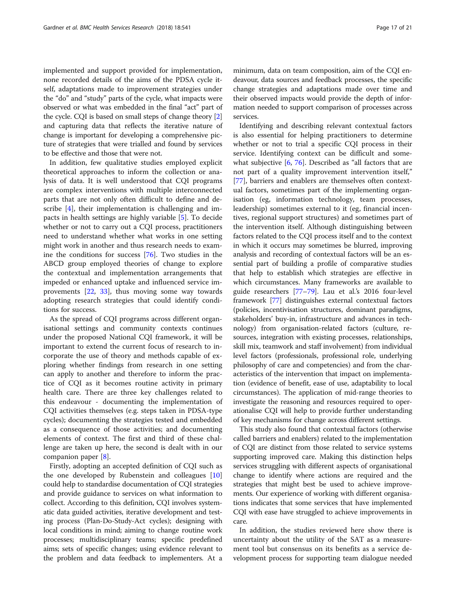implemented and support provided for implementation, none recorded details of the aims of the PDSA cycle itself, adaptations made to improvement strategies under the "do" and "study" parts of the cycle, what impacts were observed or what was embedded in the final "act" part of the cycle. CQI is based on small steps of change theory [[2](#page-20-0)] and capturing data that reflects the iterative nature of change is important for developing a comprehensive picture of strategies that were trialled and found by services to be effective and those that were not.

In addition, few qualitative studies employed explicit theoretical approaches to inform the collection or analysis of data. It is well understood that CQI programs are complex interventions with multiple interconnected parts that are not only often difficult to define and describe [\[4](#page-20-0)], their implementation is challenging and impacts in health settings are highly variable [\[5\]](#page-20-0). To decide whether or not to carry out a CQI process, practitioners need to understand whether what works in one setting might work in another and thus research needs to examine the conditions for success [[76\]](#page-22-0). Two studies in the ABCD group employed theories of change to explore the contextual and implementation arrangements that impeded or enhanced uptake and influenced service improvements [\[22](#page-20-0), [33\]](#page-21-0), thus moving some way towards adopting research strategies that could identify conditions for success.

As the spread of CQI programs across different organisational settings and community contexts continues under the proposed National CQI framework, it will be important to extend the current focus of research to incorporate the use of theory and methods capable of exploring whether findings from research in one setting can apply to another and therefore to inform the practice of CQI as it becomes routine activity in primary health care. There are three key challenges related to this endeavour - documenting the implementation of CQI activities themselves (e.g. steps taken in PDSA-type cycles); documenting the strategies tested and embedded as a consequence of those activities; and documenting elements of context. The first and third of these challenge are taken up here, the second is dealt with in our companion paper [\[8](#page-20-0)].

Firstly, adopting an accepted definition of CQI such as the one developed by Rubenstein and colleagues [[10](#page-20-0)] could help to standardise documentation of CQI strategies and provide guidance to services on what information to collect. According to this definition, CQI involves systematic data guided activities, iterative development and testing process (Plan-Do-Study-Act cycles); designing with local conditions in mind; aiming to change routine work processes; multidisciplinary teams; specific predefined aims; sets of specific changes; using evidence relevant to the problem and data feedback to implementers. At a minimum, data on team composition, aim of the CQI endeavour, data sources and feedback processes, the specific change strategies and adaptations made over time and their observed impacts would provide the depth of information needed to support comparison of processes across services.

Identifying and describing relevant contextual factors is also essential for helping practitioners to determine whether or not to trial a specific CQI process in their service. Identifying context can be difficult and somewhat subjective [[6,](#page-20-0) [76\]](#page-22-0). Described as "all factors that are not part of a quality improvement intervention itself," [[77\]](#page-22-0), barriers and enablers are themselves often contextual factors, sometimes part of the implementing organisation (eg, information technology, team processes, leadership) sometimes external to it (eg, financial incentives, regional support structures) and sometimes part of the intervention itself. Although distinguishing between factors related to the CQI process itself and to the context in which it occurs may sometimes be blurred, improving analysis and recording of contextual factors will be an essential part of building a profile of comparative studies that help to establish which strategies are effective in which circumstances. Many frameworks are available to guide researchers [\[77](#page-22-0)–[79](#page-22-0)]. Lau et al.'s 2016 four-level framework [[77](#page-22-0)] distinguishes external contextual factors (policies, incentivisation structures, dominant paradigms, stakeholders' buy-in, infrastructure and advances in technology) from organisation-related factors (culture, resources, integration with existing processes, relationships, skill mix, teamwork and staff involvement) from individual level factors (professionals, professional role, underlying philosophy of care and competencies) and from the characteristics of the intervention that impact on implementation (evidence of benefit, ease of use, adaptability to local circumstances). The application of mid-range theories to investigate the reasoning and resources required to operationalise CQI will help to provide further understanding of key mechanisms for change across different settings.

This study also found that contextual factors (otherwise called barriers and enablers) related to the implementation of CQI are distinct from those related to service systems supporting improved care. Making this distinction helps services struggling with different aspects of organisational change to identify where actions are required and the strategies that might best be used to achieve improvements. Our experience of working with different organisations indicates that some services that have implemented CQI with ease have struggled to achieve improvements in care.

In addition, the studies reviewed here show there is uncertainty about the utility of the SAT as a measurement tool but consensus on its benefits as a service development process for supporting team dialogue needed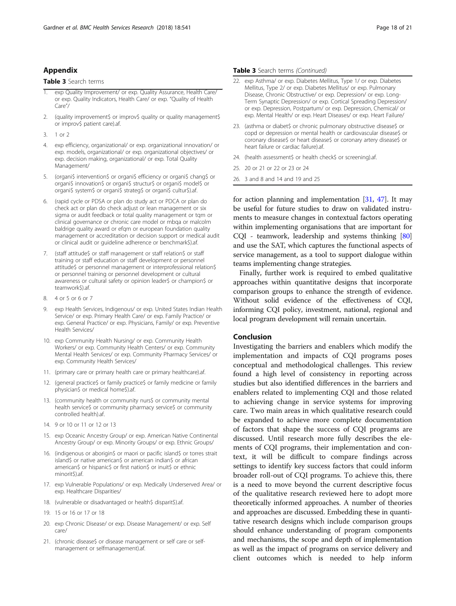#### Appendix

#### Table 3 Search terms

- exp Quality Improvement/ or exp. Quality Assurance, Health Care/ or exp. Quality Indicators, Health Care/ or exp. "Quality of Health Care"/
- 2. (quality improvement\$ or improv\$ quality or quality management\$ or improv\$ patient care).af.
- 3. 1 or 2
- 4. exp efficiency, organizational/ or exp. organizational innovation/ or exp. models, organizational/ or exp. organizational objectives/ or exp. decision making, organizational/ or exp. Total Quality Management/
- 5. (organi\$ intervention\$ or organi\$ efficiency or organi\$ chang\$ or organi\$ innovation\$ or organi\$ structur\$ or organi\$ model\$ or organi\$ system\$ or organi\$ strateg\$ or organi\$ cultur\$).af.
- 6. (rapid cycle or PDSA or plan do study act or PDCA or plan do check act or plan do check adjust or lean management or six sigma or audit feedback or total quality management or tqm or clinical governance or chronic care model or mbqa or malcolm baldrige quality award or efqm or european foundation quality management or accreditation or decision support or medical audit or clinical audit or guideline adherence or benchmark\$).af.
- 7. (staff attitude\$ or staff management or staff relation\$ or staff training or staff education or staff development or personnel attitude\$ or personnel management or interprofessional relation\$ or personnel training or personnel development or cultural awareness or cultural safety or opinion leader\$ or champion\$ or teamwork\$).af.
- 8. 4 or 5 or 6 or 7
- 9. exp Health Services, Indigenous/ or exp. United States Indian Health Service/ or exp. Primary Health Care/ or exp. Family Practice/ or exp. General Practice/ or exp. Physicians, Family/ or exp. Preventive Health Services/
- 10. exp Community Health Nursing/ or exp. Community Health Workers/ or exp. Community Health Centers/ or exp. Community Mental Health Services/ or exp. Community Pharmacy Services/ or exp. Community Health Services/
- 11. (primary care or primary health care or primary healthcare).af.
- 12. (general practice\$ or family practice\$ or family medicine or family physician\$ or medical home\$).af.
- 13. (community health or community nurs\$ or community mental health service\$ or community pharmacy service\$ or community controlled health).af.
- 14. 9 or 10 or 11 or 12 or 13
- 15. exp Oceanic Ancestry Group/ or exp. American Native Continental Ancestry Group/ or exp. Minority Groups/ or exp. Ethnic Groups/
- 16. (indigenous or aborigin\$ or maori or pacific island\$ or torres strait island\$ or native american\$ or american indian\$ or african american\$ or hispanic\$ or first nation\$ or inuit\$ or ethnic minorit\$).af.
- 17. exp Vulnerable Populations/ or exp. Medically Underserved Area/ or exp. Healthcare Disparities/
- 18. (vulnerable or disadvantaged or health\$ disparit\$).af.
- 19. 15 or 16 or 17 or 18
- 20. exp Chronic Disease/ or exp. Disease Management/ or exp. Self care/
- 21. (chronic disease\$ or disease management or self care or selfmanagement or selfmanagement).af.

#### Table 3 Search terms (Continued)

- 22. exp Asthma/ or exp. Diabetes Mellitus, Type 1/ or exp. Diabetes Mellitus, Type 2/ or exp. Diabetes Mellitus/ or exp. Pulmonary Disease, Chronic Obstructive/ or exp. Depression/ or exp. Long-Term Synaptic Depression/ or exp. Cortical Spreading Depression/ or exp. Depression, Postpartum/ or exp. Depression, Chemical/ or exp. Mental Health/ or exp. Heart Diseases/ or exp. Heart Failure/
- 23. (asthma or diabet\$ or chronic pulmonary obstructive disease\$ or copd or depression or mental health or cardiovascular disease\$ or coronary disease\$ or heart disease\$ or coronary artery disease\$ or heart failure or cardiac failure).af.
- 24. (health assessment\$ or health check\$ or screening).af.
- 25. 20 or 21 or 22 or 23 or 24
- 26. 3 and 8 and 14 and 19 and 25

for action planning and implementation [\[31,](#page-21-0) [47](#page-21-0)]. It may be useful for future studies to draw on validated instruments to measure changes in contextual factors operating within implementing organisations that are important for CQI - teamwork, leadership and systems thinking [[80](#page-22-0)] and use the SAT, which captures the functional aspects of service management, as a tool to support dialogue within teams implementing change strategies.

Finally, further work is required to embed qualitative approaches within quantitative designs that incorporate comparison groups to enhance the strength of evidence. Without solid evidence of the effectiveness of CQI, informing CQI policy, investment, national, regional and local program development will remain uncertain.

#### Conclusion

Investigating the barriers and enablers which modify the implementation and impacts of CQI programs poses conceptual and methodological challenges. This review found a high level of consistency in reporting across studies but also identified differences in the barriers and enablers related to implementing CQI and those related to achieving change in service systems for improving care. Two main areas in which qualitative research could be expanded to achieve more complete documentation of factors that shape the success of CQI programs are discussed. Until research more fully describes the elements of CQI programs, their implementation and context, it will be difficult to compare findings across settings to identify key success factors that could inform broader roll-out of CQI programs. To achieve this, there is a need to move beyond the current descriptive focus of the qualitative research reviewed here to adopt more theoretically informed approaches. A number of theories and approaches are discussed. Embedding these in quantitative research designs which include comparison groups should enhance understanding of program components and mechanisms, the scope and depth of implementation as well as the impact of programs on service delivery and client outcomes which is needed to help inform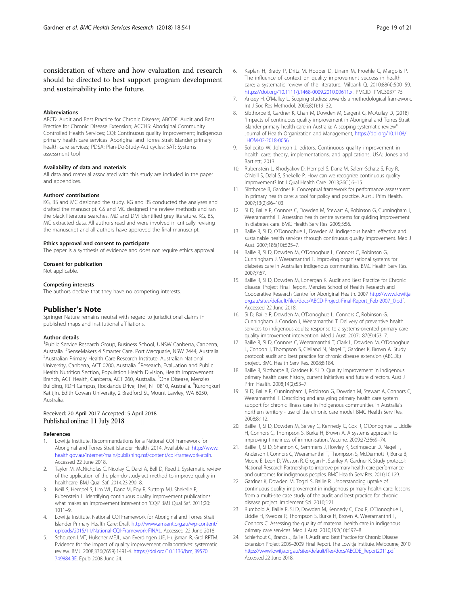<span id="page-20-0"></span>consideration of where and how evaluation and research should be directed to best support program development and sustainability into the future.

#### Abbreviations

ABCD: Audit and Best Practice for Chronic Disease; ABCDE: Audit and Best Practice for Chronic Disease Extension; ACCHS: Aboriginal Community Controlled Health Services; CQI: Continuous quality improvement; Indigenous primary health care services: Aboriginal and Torres Strait Islander primary health care services; PDSA: Plan-Do-Study-Act cycles; SAT: Systems assessment tool

#### Availability of data and materials

All data and material associated with this study are included in the paper and appendices.

#### Authors' contributions

KG, BS and MC designed the study. KG and BS conducted the analyses and drafted the manuscript. GS and MC designed the review methods and ran the black literature searches. MD and DM identified grey literature. KG, BS, MC extracted data. All authors read and were involved in critically revising the manuscript and all authors have approved the final manuscript.

#### Ethics approval and consent to participate

The paper is a synthesis of evidence and does not require ethics approval.

#### Consent for publication

Not applicable.

#### Competing interests

The authors declare that they have no competing interests.

#### Publisher's Note

Springer Nature remains neutral with regard to jurisdictional claims in published maps and institutional affiliations.

#### Author details

<sup>1</sup>Public Service Research Group, Business School, UNSW Canberra, Canberra, Australia. <sup>2</sup>SenseMakers 4 Smarter Care, Port Macquarie, NSW 2444, Australia.<br><sup>3</sup>Australian Primary Hoalth Care Pesearch Institute, Australian National Australian Primary Health Care Research Institute, Australian National University, Canberra, ACT 0200, Australia. <sup>4</sup>Research, Evaluation and Public Health Nutrition Section, Population Health Division, Health Improvement Branch, ACT Health, Canberra, ACT 260, Australia. <sup>5</sup>One Disease, Menzies Building, RDH Campus, Rocklands Drive, Tiwi, NT 0810, Australia. <sup>6</sup>Kurongkurl Katitjin, Edith Cowan University, 2 Bradford St, Mount Lawley, WA 6050, Australia.

#### Received: 20 April 2017 Accepted: 5 April 2018 Published online: 11 July 2018

#### References

- 1. Lowitja Institute. Recommendations for a National CQI Framework for Aboriginal and Torres Strait Islander Health. 2014. Available at: [http://www.](http://www.health.gov.au/internet/main/publishing.nsf/content/cqi-framework-atsih) [health.gov.au/internet/main/publishing.nsf/content/cqi-framework-atsih.](http://www.health.gov.au/internet/main/publishing.nsf/content/cqi-framework-atsih) Accessed 22 June 2018.
- 2. Taylor M, McNicholas C, Nicolay C, Darzi A, Bell D, Reed J. Systematic review of the application of the plan-do-study-act method to improve quality in healthcare. BMJ Qual Saf. 2014;23:290–8.
- Neill S, Hempel S, Lim WL, Danz M, Foy R, Suttorp MJ, Shekelle P, Rubenstein L. Identifying continuous quality improvement publications: what makes an improvement intervention 'CQI? BMJ Qual Saf. 2011;20: 1011–9.
- 4. Lowitja Institute. National CQI Framework for Aboriginal and Torres Strait Islander Primary Health Care: Draft [http://www.amsant.org.au/wp-content/](http://www.amsant.org.au/wp-content/uploads/2015/11/National-CQI-Framework-FINAL) [uploads/2015/11/National-CQI-Framework-FINAL](http://www.amsant.org.au/wp-content/uploads/2015/11/National-CQI-Framework-FINAL). Accessed 22 June 2018.
- 5. Schouten LMT, Hulscher MEJL, van Everdingen JJE, Huijsman R, Grol RPTM. Evidence for the impact of quality improvement collaboratives: systematic review. BMJ. 2008;336(7659):1491-4. [https://doi.org/10.1136/bmj.39570.](https://doi.org/10.1136/bmj.39570.749884.BE) [749884.BE](https://doi.org/10.1136/bmj.39570.749884.BE). Epub 2008 June 24.
- 6. Kaplan H, Brady P, Dritz M, Hooper D, Linam M, Froehle C, Margolis P. The influence of context on quality improvement success in health care: a systematic review of the literature. Milbank Q. 2010;88(4):500–59. [https://doi.org/10.1111/j.1468-0009.2010.00611.x.](https://doi.org/10.1111/j.1468-0009.2010.00611.x) PMCID: PMC3037175
- 7. Arksey H, O'Malley L. Scoping studies: towards a methodological framework. Int J Soc Res Methodol. 2005;8(1):19–32.
- 8. Sibthorpe B, Gardner K, Chan M, Dowden M, Sargent G, McAullay D, (2018) "Impacts of continuous quality improvement in Aboriginal and Torres Strait islander primary health care in Australia: A scoping systematic review", Journal of Health Organization and Management, [https://doi.org/10.1108/](https://doi.org/10.1108/JHOM-02-2018-0056) [JHOM-02-2018-0056](https://doi.org/10.1108/JHOM-02-2018-0056).
- 9. Sollecito W, Johnson J, editors. Continuous quality improvement in health care: theory, implementations, and applications. USA: Jones and Bartlett; 2013.
- 10. Rubenstein L, Khodyakov D, Hempel S, Danz M, Salem-Schatz S, Foy R, O'Neill S, Dalal S, Shekelle P. How can we recognize continuous quality improvement? Int J Qual Health Care. 2013;26(1):6–15.
- 11. Sibthorpe B, Gardner K. Conceptual framework for performance assessment in primary health care: a tool for policy and practice. Aust J Prim Health. 2007;13(2):96–103.
- 12. Si D, Bailie R, Connors C, Dowden M, Stewart A, Robinson G, Cunningham J, Weeramanthri T. Assessing health centre systems for guiding improvement in diabetes care. BMC Health Serv Res. 2005;5:56.
- 13. Bailie R, Si D, O'Donoghue L, Dowden M. Indigenous health: effective and sustainable health services through continuous quality improvement. Med J Aust. 2007;186(10):525–7.
- 14. Bailie R, Si D, Dowden M, O'Donoghue L, Connors C, Robinson G, Cunningham J, Weeramanthri T. Improving organisational systems for diabetes care in Australian indigenous communities. BMC Health Serv Res. 2007;7:67.
- 15. Bailie R, Si D, Dowden M, Lonergan K. Audit and Best Practice for Chronic disease: Project Final Report. Menzies School of Health Research and Cooperative Research Centre for Aboriginal Health. 2007 [http://www.lowitja.](http://www.lowitja.org.au/sites/default/files/docs/ABCD-Project-Final-Report_Feb-2007_0.pdf) [org.au/sites/default/files/docs/ABCD-Project-Final-Report\\_Feb-2007\\_0.pdf.](http://www.lowitja.org.au/sites/default/files/docs/ABCD-Project-Final-Report_Feb-2007_0.pdf) Accessed 22 June 2018.
- 16. Si D, Bailie R, Dowden M, O'Donoghue L, Connors C, Robinson G, Cunningham J, Condon J, Weeramanthri T. Delivery of preventive health services to indigenous adults: response to a systems-oriented primary care quality improvement intervention. Med J Aust. 2007;187(8):453–7.
- 17. Bailie R, Si D, Connors C, Weeramanthri T, Clark L, Dowden M, O'Donoghue L, Condon J, Thompson S, Clelland N, Nagel T, Gardner K, Brown A. Study protocol: audit and best practice for chronic disease extension (ABCDE) project. BMC Health Serv Res. 2008;8:184.
- 18. Bailie R, Sibthorpe B, Gardner K, Si D. Quality improvement in indigenous primary health care: history, current initiatives and future directors. Aust J Prim Health. 2008;14(2):53–7.
- 19. Si D, Bailie R, Cunningham J, Robinson G, Dowden M, Stewart A, Connors C, Weeramanthri T. Describing and analysing primary health care system support for chronic illness care in indigenous communities in Australia's northern territory - use of the chronic care model. BMC Health Serv Res. 2008;8:112.
- 20. Bailie R, Si D, Dowden M, Selvey C, Kennedy C, Cox R, O'Donoghue L, Liddle H, Connors C, Thompson S, Burke H, Brown A. A systems approach to improving timeliness of immunisation. Vaccine. 2009;27:3669–74.
- 21. Bailie R, Si D, Shannon C, Semmens J, Rowley K, Scrimgeour D, Nagel T, Anderson I, Connors C, Weeramanthri T, Thompson S, McDermott R, Burke B, Moore E, Leon D, Weston R, Grogan H, Stanley A, Gardner K. Study protocol: National Research Partnership to improve primary health care performance and outcomes for indigenous peoples. BMC Health Serv Res. 2010;10:129.
- 22. Gardner K, Dowden M, Togni S, Bailie R. Understanding uptake of continuous quality improvement in indigenous primary health care: lessons from a multi-site case study of the audit and best practice for chronic disease project. Implement Sci. 2010;5:21.
- 23. Rumbold A, Bailie R, Si D, Dowden M, Kennedy C, Cox R, O'Donoghue L, Liddle H, Kwedza R, Thompson S, Burke H, Brown A, Weeramanthri T, Connors C. Assessing the quality of maternal health care in indigenous primary care services. Med J Aust. 2010;192(10):597–8.
- 24. Schierhout G, Brands J, Bailie R. Audit and Best Practice for Chronic Disease Extension Project 2005–2009: Final Report. The Lowitja Institute, Melbourne, 2010. [https://www.lowitja.org.au/sites/default/files/docs/ABCDE\\_Report2011.pdf](https://www.lowitja.org.au/sites/default/files/docs/ABCDE_Report2011.pdf) Accessed 22 June 2018.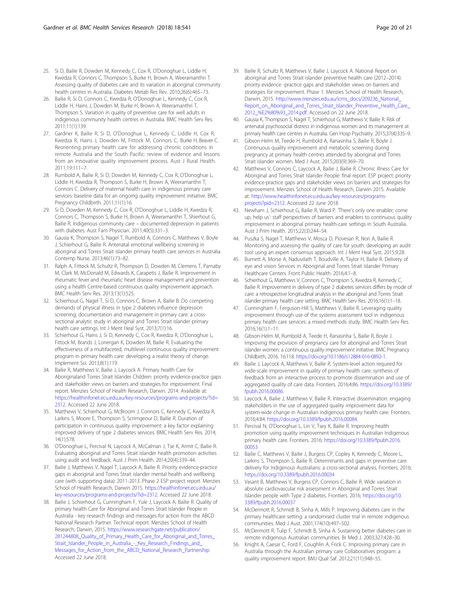- <span id="page-21-0"></span>25. Si D, Bailie R, Dowden M, Kennedy C, Cox R, O'Donoghue L, Liddle H, Kwedza R, Connors C, Thompson S, Burke H, Brown A, Weeramanthri T. Assessing quality of diabetes care and its variation in aboriginal community health centres in Australia. Diabetes Metab Res Rev. 2010;26(6):465–73.
- 26. Bailie R, Si D, Connors C, Kwedza R, O'Donoghue L, Kennedy C, Cox R, Liddle H, Hains J, Dowden M, Burke H, Brown A, Weeramanthri T, Thompson S. Variation in quality of preventive care for well adults in indigenous community health centres in Australia. BMC Health Serv Res. 2011;11(1):139.
- 27. Gardner K, Bailie R, Si D, O'Donoghue L, Kennedy C, Liddle H, Cox R, Kwedza R, Hains J, Dowden M, Fittock M, Connors C, Burke H, Beaver C. Reorienting primary health care for addressing chronic conditions in remote Australia and the South Pacific: review of evidence and lessons from an innovative quality improvement process. Aust J Rural Health. 2011;19:111–7.
- 28. Rumbold A, Bailie R, Si D, Dowden M, Kennedy C, Cox R, O'Donoghue L, Liddle H, Kwedza R, Thompson S, Burke H, Brown A, Weeramanthri T, Connors C. Delivery of maternal health care in indigenous primary care services: baseline data for an ongoing quality improvement initiative. BMC Pregnancy Childbirth. 2011;11(1):16.
- 29. Si D, Dowden M, Kennedy C, Cox R, O'Donoghue L, Liddle H, Kwedza R, Connors C, Thompson S, Burke H, Brown A, Weeramanthri T, Shierhout G, Bailie R. Indigenous community care – documented depression in patients with diabetes. Aust Fam Physician. 2011;40(5):331–3.
- 30. Gausia K, Thompson S, Nagel T, Rumbold A, Connors C, Matthews V, Boyle J, Schierhout G, Bailie R. Antenatal emotional wellbeing screening in aboriginal and Torres Strait islander primary health care services in Australia. Contemp Nurse. 2013;46(1):73–82.
- 31. Ralph A, Fittock M, Schultz R, Thompson D, Dowden M, Clemens T, Parnaby M, Clark M, McDonald M, Edwards K, Carapetis J, Bailie R. Improvement in rheumatic fever and rheumatic heart disease management and prevention using a health Centre-based continuous quality improvement approach. BMC Health Serv Res. 2013;13(1):525.
- 32. Schierhout G, Nagel T, Si D, Connors C, Brown A, Bailie B. Do competing demands of physical illness in type 2 diabetes influence depression screening, documentation and management in primary care: a crosssectional analytic study in aboriginal and Torres Strait islander primary health care settings. Int J Ment Heal Syst. 2013;7(1):16.
- 33. Schierhout G, Hains J, Si D, Kennedy C, Cox R, Kwedza R, O'Donoghue L, Fittock M, Brands J, Lonergan K, Dowden M, Bailie R. Evaluating the effectiveness of a multifaceted, multilevel continuous quality improvement program in primary health care: developing a realist theory of change. Implement Sci. 2013;8(1):119.
- 34. Bailie R, Matthews V, Bailie J, Laycock A. Primary health Care for Aboriginaland Torres Strait Islander Children: priority evidence-practice gaps and stakeholder views on barriers and strategies for improvement. Final report. Menzies School of Health Research, Darwin. 2014. Available at: [https://healthinfonet.ecu.edu.au/key-resources/programs-and-projects/?id=](https://healthinfonet.ecu.edu.au/key-resources/programs-and-projects/?id=2312) [2312](https://healthinfonet.ecu.edu.au/key-resources/programs-and-projects/?id=2312). Accessed 22 June 2018.
- 35. Matthews V, Schierhout G, McBroom J, Connors C, Kennedy C, Kwedza R, Larkins S, Moore E, Thompson S, Scrimgeour D, Bailie R. Duration of participation in continuous quality improvement: a key factor explaining improved delivery of type 2 diabetes services. BMC Health Serv Res. 2014; 14(1):578.
- 36. O'Donoghue L, Percival N, Laycock A, McCalman J, Tse K, Armit C, Bailie R. Evaluating aboriginal and Torres Strait islander health promotion activities using audit and feedback. Aust J Prim Health. 2014;20(4):339–44.
- 37. Bailie J, Matthews V, Nagel T, Laycock A, Bailie R. Priority evidence-practice gaps in aboriginal and Torres Strait islander mental health and wellbeing care (with supporting data): 2011-2013. Phase 2 ESP project report. Menzies School of Health Research, Darwin 2015. [https://healthinfonet.ecu.edu.au/](https://healthinfonet.ecu.edu.au/key-resources/programs-and-projects/?id=2312) [key-resources/programs-and-projects/?id=2312.](https://healthinfonet.ecu.edu.au/key-resources/programs-and-projects/?id=2312) Accessed 22 June 2018.
- 38. Bailie J, Schierhout G, Cunningham F, Yule J, Laycock A, Bailie R. Quality of primary health Care for Aboriginal and Torres Strait Islander People in Australia - key research findings and messages for action from the ABCD National Research Partner. Technical report. Menzies School of Health Research, Darwin, 2015. [https://www.researchgate.net/publication/](https://www.researchgate.net/publication/281244808_Quality_of_Primary_Health_Care_for_Aboriginal_and_Torres_Strait_Islander_People_in_Australia_-_Key_Research_Findings_and_Messages_for_Action_from_the_ABCD_National_Research_Partnership) [281244808\\_Quality\\_of\\_Primary\\_Health\\_Care\\_for\\_Aboriginal\\_and\\_Torres\\_](https://www.researchgate.net/publication/281244808_Quality_of_Primary_Health_Care_for_Aboriginal_and_Torres_Strait_Islander_People_in_Australia_-_Key_Research_Findings_and_Messages_for_Action_from_the_ABCD_National_Research_Partnership) [Strait\\_Islander\\_People\\_in\\_Australia\\_-\\_Key\\_Research\\_Findings\\_and\\_](https://www.researchgate.net/publication/281244808_Quality_of_Primary_Health_Care_for_Aboriginal_and_Torres_Strait_Islander_People_in_Australia_-_Key_Research_Findings_and_Messages_for_Action_from_the_ABCD_National_Research_Partnership) [Messages\\_for\\_Action\\_from\\_the\\_ABCD\\_National\\_Research\\_Partnership](https://www.researchgate.net/publication/281244808_Quality_of_Primary_Health_Care_for_Aboriginal_and_Torres_Strait_Islander_People_in_Australia_-_Key_Research_Findings_and_Messages_for_Action_from_the_ABCD_National_Research_Partnership). Accessed 22 June 2018.
- 39. Bailie R, Schultz R, Matthews V, Bailie J, Laycock A. National Report on aboriginal and Torres Strait islander preventive health care (2012–2014): priority evidence -practice gaps and stakeholder views on barriers and strategies for improvement. Phase 1. Menzies School of Health Research, Darwin, 2015. [http://www.menzies.edu.au/icms\\_docs/209236\\_National\\_](http://www.menzies.edu.au/icms_docs/209236_National_Report_on_Aboriginal_and_Torres_Strait_Islander_Preventive_Health_Care_2012_%E2%80%93_2014.pdf) [Report\\_on\\_Aboriginal\\_and\\_Torres\\_Strait\\_Islander\\_Preventive\\_Health\\_Care\\_](http://www.menzies.edu.au/icms_docs/209236_National_Report_on_Aboriginal_and_Torres_Strait_Islander_Preventive_Health_Care_2012_%E2%80%93_2014.pdf) [2012\\_%E2%80%93\\_2014.pdf.](http://www.menzies.edu.au/icms_docs/209236_National_Report_on_Aboriginal_and_Torres_Strait_Islander_Preventive_Health_Care_2012_%E2%80%93_2014.pdf) Accessed on 22 June 2018.
- 40. Gausia K, Thompson S, Nagel T, Schierhout G, Matthews V, Bailie R. Risk of antenatal psychosocial distress in indigenous women and its management at primary health care centres in Australia. Gen Hosp Psychiatry. 2015;37(4):335–9.
- 41. Gibson-Helm M, Teede H, Rumbold A, Ranasinha S, Bailie R, Boyle J. Continuous quality improvement and metabolic screening during pregnancy at primary health centres attended by aboriginal and Torres Strait islander women. Med J Aust. 2015;203(9):369–70.
- 42. Matthews V, Connors C, Laycock A, Bailie J, Bailie R. Chronic illness Care for Aboriginal and Torres Strait Islander People: final report. ESP project: priority evidence-practice gaps and stakeholder views on barriers and strategies for improvement. Menzies School of Health Research, Darwin 2015. Available at: [http://www.healthinfonet.ecu.edu.au/key-resources/programs](http://www.healthinfonet.ecu.edu.au/key-resources/programs-projects?pid=2312)[projects?pid=2312.](http://www.healthinfonet.ecu.edu.au/key-resources/programs-projects?pid=2312) Accessed 22 June 2018.
- 43. Newham J, Schierhout G, Bailie R, Ward P. 'There's only one enabler; come up, help us': staff perspectives of barriers and enablers to continuous quality improvement in aboriginal primary health-care settings in South Australia. Aust J Prim Health. 2015;22(3):244–54.
- 44. Puszka S, Nagel T, Matthews V, Mosca D, Piovesan R, Nori A, Bailie R. Monitoring and assessing the quality of care for youth: developing an audit tool using an expert consensus approach. Int J Ment Heal Syst. 2015;9:28.
- 45. Burnett A, Morse A, Naduvilath T, Boudville A, Taylor H, Bailie R. Delivery of eye and vision Services in Aboriginal and Torres Strait Islander Primary Healthcare Centers. Front Public Health. 2016;4:1–8.
- 46. Schierhout G, Matthews V, Connors C, Thompson S, Kwedza R, Kennedy C, Bailie R. Improvement in delivery of type 2 diabetes services differs by mode of care: a retrospective longitudinal analysis in the aboriginal and Torres Strait islander primary health care setting. BMC Health Serv Res. 2016;16(1):1–18.
- 47. Cunningham F, Ferguson-Hill S, Matthews V, Bailie R. Leveraging quality improvement through use of the systems assessment tool in indigenous primary health care services: a mixed methods study. BMC Health Serv Res. 2016;16(1):1–11.
- 48. Gibson-Helm M, Rumbold A, Teede H, Ranasinha S, Bailie R, Boyle J. Improving the provision of pregnancy care for aboriginal and Torres Strait islander women: a continuous quality improvement initiative. BMC Pregnancy Childbirth, 2016. 16:118. [https://doi.org/10.1186/s12884-016-0892-1.](https://doi.org/10.1186/s12884-016-0892-1)
- 49. Bailie J, Laycock A, Matthews V, Bailie R. System-level action required for wide-scale improvement in quality of primary health care: synthesis of feedback from an interactive process to promote dissemination and use of aggregated quality of care data. Frontiers. 2016;4:86. [https://doi.org/10.3389/](https://doi.org/10.3389/fpubh.2016.00086) [fpubh.2016.00086.](https://doi.org/10.3389/fpubh.2016.00086)
- 50. Laycock A, Bailie J, Matthews V, Bailie R. Interactive dissemination: engaging stakeholders in the use of aggregated quality improvement data for system-wide change in Australian indigenous primary health care. Frontiers. 2016;4:84. [https://doi.org/10.3389/fpubh.2016.00084.](https://doi.org/10.3389/fpubh.2016.00084)
- 51. Percival N, O'Donoghue L, Lin V, Tsey K, Bailie R. Improving health promotion using quality improvement techniques in Australian Indigenous primary health care. Frontiers. 2016; [https://doi.org/10.3389/fpubh.2016.](https://doi.org/10.3389/fpubh.2016.00053) [00053](https://doi.org/10.3389/fpubh.2016.00053)
- 52. Bailie C, Matthews V, Bailie J, Burgess CP, Copley K, Kennedy C, Moore L, Larkins S, Thompson S, Bailie R. Determinants and gaps in preventive care delivery for Indigenous Australians: a cross-sectional analysis. Frontiers. 2016; <https://doi.org/10.3389/fpubh.2016.00034>
- 53. Vasant B, Matthews V, Burgess CP, Connors C, Bailie R. Wide variation in absolute cardiovascular risk assessment in Aboriginal and Torres Strait Islander people with Type 2 diabetes. Frontiers. 2016; [https://doi.org/10.](https://doi.org/10.3389/fpubh.2016.00037) [3389/fpubh.2016.00037](https://doi.org/10.3389/fpubh.2016.00037)
- 54. McDermott R, Schmidt B, Sinha A, Mills P. Improving diabetes care in the primary healthcare setting: a randomised cluster trial in remote indigenous communities. Med J Aust. 2001;174(10):497–502.
- 55. McDermott R, Tulip F, Schmidt B, Sinha A. Sustaining better diabetes care in remote indigenous Australian communities. Br Med J. 2003;327:428–30.
- 56. Knight A, Caesar C, Ford F, Coughlin A, Frick C. Improving primary care in Australia through the Australian primary care Collaboratives program: a quality improvement report. BMJ Qual Saf. 2012;21(11):948–55.